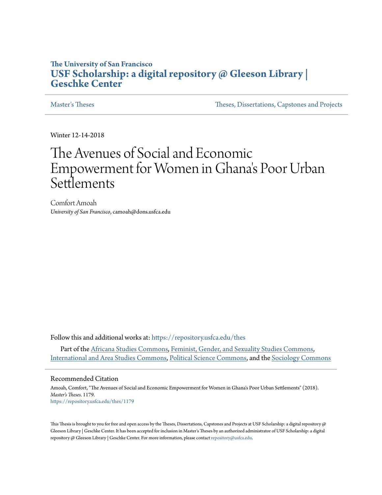# **The University of San Francisco [USF Scholarship: a digital repository @ Gleeson Library |](https://repository.usfca.edu?utm_source=repository.usfca.edu%2Fthes%2F1179&utm_medium=PDF&utm_campaign=PDFCoverPages) [Geschke Center](https://repository.usfca.edu?utm_source=repository.usfca.edu%2Fthes%2F1179&utm_medium=PDF&utm_campaign=PDFCoverPages)**

[Master's Theses](https://repository.usfca.edu/thes?utm_source=repository.usfca.edu%2Fthes%2F1179&utm_medium=PDF&utm_campaign=PDFCoverPages) [Theses, Dissertations, Capstones and Projects](https://repository.usfca.edu/etd?utm_source=repository.usfca.edu%2Fthes%2F1179&utm_medium=PDF&utm_campaign=PDFCoverPages)

Winter 12-14-2018

# The Avenues of Social and Economic Empowerment for Women in Ghana 's Poor Urban Settlements

Comfort Amoah *University of San Francisco*, camoah@dons.usfca.edu

Follow this and additional works at: [https://repository.usfca.edu/thes](https://repository.usfca.edu/thes?utm_source=repository.usfca.edu%2Fthes%2F1179&utm_medium=PDF&utm_campaign=PDFCoverPages)

Part of the [Africana Studies Commons](http://network.bepress.com/hgg/discipline/1418?utm_source=repository.usfca.edu%2Fthes%2F1179&utm_medium=PDF&utm_campaign=PDFCoverPages), [Feminist, Gender, and Sexuality Studies Commons](http://network.bepress.com/hgg/discipline/559?utm_source=repository.usfca.edu%2Fthes%2F1179&utm_medium=PDF&utm_campaign=PDFCoverPages), [International and Area Studies Commons](http://network.bepress.com/hgg/discipline/360?utm_source=repository.usfca.edu%2Fthes%2F1179&utm_medium=PDF&utm_campaign=PDFCoverPages), [Political Science Commons](http://network.bepress.com/hgg/discipline/386?utm_source=repository.usfca.edu%2Fthes%2F1179&utm_medium=PDF&utm_campaign=PDFCoverPages), and the [Sociology Commons](http://network.bepress.com/hgg/discipline/416?utm_source=repository.usfca.edu%2Fthes%2F1179&utm_medium=PDF&utm_campaign=PDFCoverPages)

#### Recommended Citation

Amoah, Comfort, "The Avenues of Social and Economic Empowerment for Women in Ghana's Poor Urban Settlements" (2018). *Master's Theses*. 1179. [https://repository.usfca.edu/thes/1179](https://repository.usfca.edu/thes/1179?utm_source=repository.usfca.edu%2Fthes%2F1179&utm_medium=PDF&utm_campaign=PDFCoverPages)

This Thesis is brought to you for free and open access by the Theses, Dissertations, Capstones and Projects at USF Scholarship: a digital repository @ Gleeson Library | Geschke Center. It has been accepted for inclusion in Master's Theses by an authorized administrator of USF Scholarship: a digital repository @ Gleeson Library | Geschke Center. For more information, please contact [repository@usfca.edu.](mailto:repository@usfca.edu)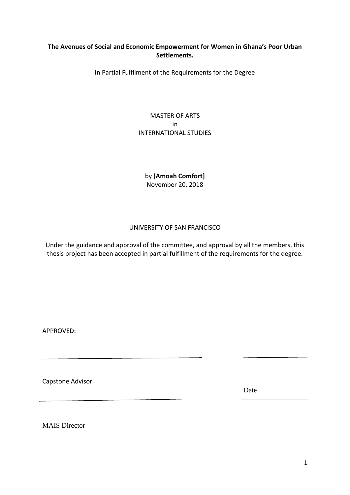# **The Avenues of Social and Economic Empowerment for Women in Ghana's Poor Urban Settlements.**

In Partial Fulfilment of the Requirements for the Degree

# MASTER OF ARTS in INTERNATIONAL STUDIES

by [**Amoah Comfort]** November 20, 2018

# UNIVERSITY OF SAN FRANCISCO

Under the guidance and approval of the committee, and approval by all the members, this thesis project has been accepted in partial fulfillment of the requirements for the degree.

APPROVED:

Capstone Advisor

Date

MAIS Director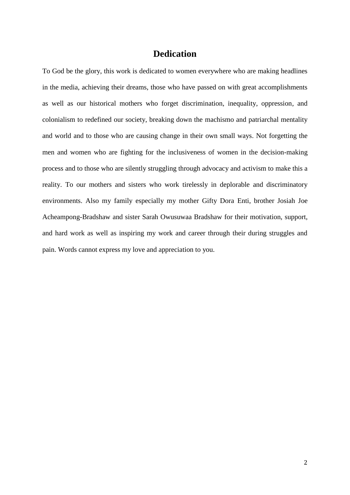# **Dedication**

To God be the glory, this work is dedicated to women everywhere who are making headlines in the media, achieving their dreams, those who have passed on with great accomplishments as well as our historical mothers who forget discrimination, inequality, oppression, and colonialism to redefined our society, breaking down the machismo and patriarchal mentality and world and to those who are causing change in their own small ways. Not forgetting the men and women who are fighting for the inclusiveness of women in the decision-making process and to those who are silently struggling through advocacy and activism to make this a reality. To our mothers and sisters who work tirelessly in deplorable and discriminatory environments. Also my family especially my mother Gifty Dora Enti, brother Josiah Joe Acheampong-Bradshaw and sister Sarah Owusuwaa Bradshaw for their motivation, support, and hard work as well as inspiring my work and career through their during struggles and pain. Words cannot express my love and appreciation to you.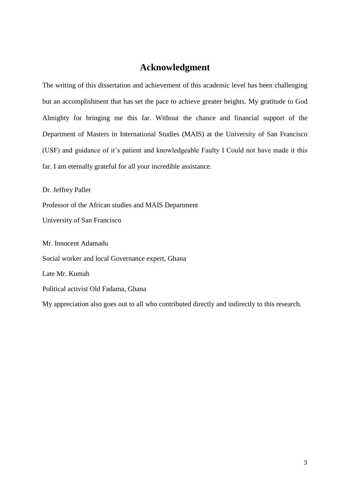# **Acknowledgment**

The writing of this dissertation and achievement of this academic level has been challenging but an accomplishment that has set the pace to achieve greater heights. My gratitude to God Almighty for bringing me this far. Without the chance and financial support of the Department of Masters in International Studies (MAIS) at the University of San Francisco (USF) and guidance of it's patient and knowledgeable Faulty I Could not have made it this far. I am eternally grateful for all your incredible assistance.

Dr. Jeffrey Paller

Professor of the African studies and MAIS Department

University of San Francisco

Mr. Innocent Adamadu Social worker and local Governance expert, Ghana Late Mr. Kumah Political activist Old Fadama, Ghana

My appreciation also goes out to all who contributed directly and indirectly to this research.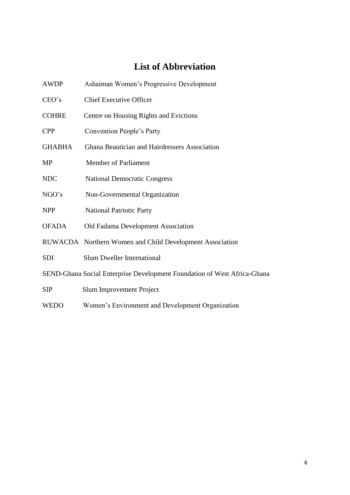# **List of Abbreviation**

| <b>AWDP</b>                                                              | Ashaiman Women's Progressive Development                 |  |
|--------------------------------------------------------------------------|----------------------------------------------------------|--|
| CEO's                                                                    | <b>Chief Executive Officer</b>                           |  |
| <b>COHRE</b>                                                             | Centre on Housing Rights and Evictions                   |  |
| <b>CPP</b>                                                               | Convention People's Party                                |  |
| <b>GHABHA</b>                                                            | Ghana Beautician and Hairdressers Association            |  |
| <b>MP</b>                                                                | <b>Member of Parliament</b>                              |  |
| <b>NDC</b>                                                               | <b>National Democratic Congress</b>                      |  |
| NGO's                                                                    | Non-Governmental Organization                            |  |
| <b>NPP</b>                                                               | <b>National Patriotic Party</b>                          |  |
| <b>OFADA</b>                                                             | Old Fadama Development Association                       |  |
|                                                                          | RUWACDA Northern Women and Child Development Association |  |
| <b>SDI</b>                                                               | <b>Slum Dweller International</b>                        |  |
| SEND-Ghana Social Enterprise Development Foundation of West Africa-Ghana |                                                          |  |
| SIP                                                                      | Slum Improvement Project                                 |  |

WEDO Women's Environment and Development Organization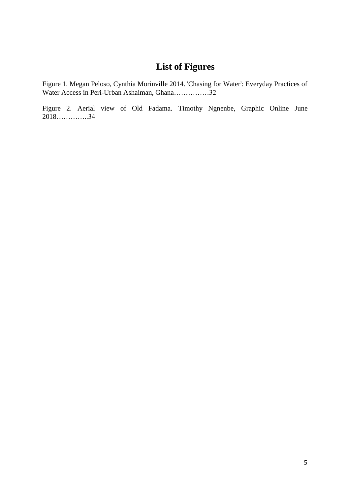# **List of Figures**

Figure 1. Megan Peloso, Cynthia Morinville 2014. 'Chasing for Water': Everyday Practices of Water Access in Peri-Urban Ashaiman, Ghana……………32

Figure 2. Aerial view of Old Fadama. Timothy Ngnenbe, Graphic Online June 2018…………..34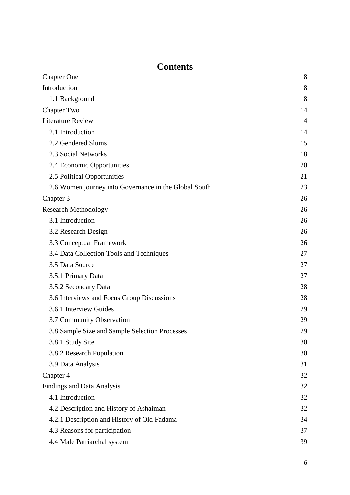# **Contents**

| <b>Chapter One</b>                                    | 8  |
|-------------------------------------------------------|----|
| Introduction                                          | 8  |
| 1.1 Background                                        | 8  |
| <b>Chapter Two</b>                                    | 14 |
| <b>Literature Review</b>                              | 14 |
| 2.1 Introduction                                      | 14 |
| 2.2 Gendered Slums                                    | 15 |
| 2.3 Social Networks                                   | 18 |
| 2.4 Economic Opportunities                            | 20 |
| 2.5 Political Opportunities                           | 21 |
| 2.6 Women journey into Governance in the Global South | 23 |
| Chapter 3                                             | 26 |
| <b>Research Methodology</b>                           | 26 |
| 3.1 Introduction                                      | 26 |
| 3.2 Research Design                                   | 26 |
| 3.3 Conceptual Framework                              | 26 |
| 3.4 Data Collection Tools and Techniques              | 27 |
| 3.5 Data Source                                       | 27 |
| 3.5.1 Primary Data                                    | 27 |
| 3.5.2 Secondary Data                                  | 28 |
| 3.6 Interviews and Focus Group Discussions            | 28 |
| 3.6.1 Interview Guides                                | 29 |
| 3.7 Community Observation                             | 29 |
| 3.8 Sample Size and Sample Selection Processes        | 29 |
| 3.8.1 Study Site                                      | 30 |
| 3.8.2 Research Population                             | 30 |
| 3.9 Data Analysis                                     | 31 |
| Chapter 4                                             | 32 |
| <b>Findings and Data Analysis</b>                     | 32 |
| 4.1 Introduction                                      |    |
| 4.2 Description and History of Ashaiman               | 32 |
| 4.2.1 Description and History of Old Fadama           |    |
| 4.3 Reasons for participation                         |    |
| 4.4 Male Patriarchal system                           | 39 |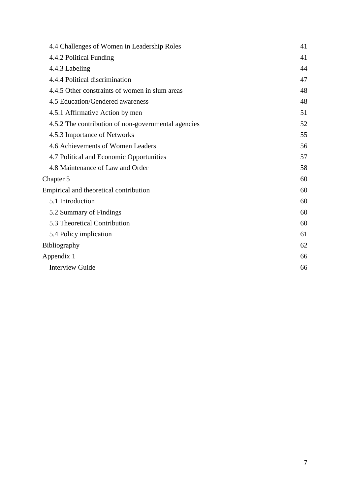<span id="page-7-0"></span>

| 4.4 Challenges of Women in Leadership Roles         | 41 |
|-----------------------------------------------------|----|
| 4.4.2 Political Funding                             | 41 |
| 4.4.3 Labeling                                      | 44 |
| 4.4.4 Political discrimination                      | 47 |
| 4.4.5 Other constraints of women in slum areas      | 48 |
| 4.5 Education/Gendered awareness                    | 48 |
| 4.5.1 Affirmative Action by men                     | 51 |
| 4.5.2 The contribution of non-governmental agencies | 52 |
| 4.5.3 Importance of Networks                        | 55 |
| 4.6 Achievements of Women Leaders                   | 56 |
| 4.7 Political and Economic Opportunities            | 57 |
| 4.8 Maintenance of Law and Order                    | 58 |
| Chapter 5                                           | 60 |
| Empirical and theoretical contribution              | 60 |
| 5.1 Introduction                                    | 60 |
| 5.2 Summary of Findings                             | 60 |
| 5.3 Theoretical Contribution                        | 60 |
| 5.4 Policy implication                              | 61 |
| <b>Bibliography</b>                                 | 62 |
| Appendix 1                                          |    |
| <b>Interview Guide</b>                              | 66 |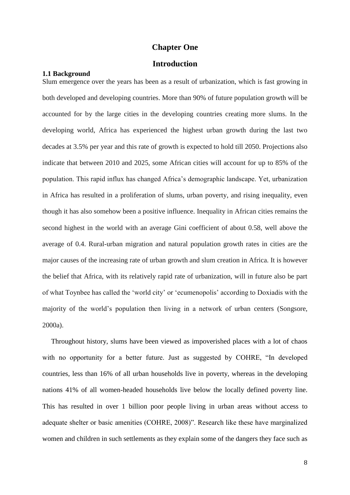# **Chapter One**

# **Introduction**

# <span id="page-8-1"></span><span id="page-8-0"></span>**1.1 Background**

Slum emergence over the years has been as a result of urbanization, which is fast growing in both developed and developing countries. More than 90% of future population growth will be accounted for by the large cities in the developing countries creating more slums. In the developing world, Africa has experienced the highest urban growth during the last two decades at 3.5% per year and this rate of growth is expected to hold till 2050. Projections also indicate that between 2010 and 2025, some African cities will account for up to 85% of the population. This rapid influx has changed Africa's demographic landscape. Yet, urbanization in Africa has resulted in a proliferation of slums, urban poverty, and rising inequality, even though it has also somehow been a positive influence. Inequality in African cities remains the second highest in the world with an average Gini coefficient of about 0.58, well above the average of 0.4. Rural-urban migration and natural population growth rates in cities are the major causes of the increasing rate of urban growth and slum creation in Africa. It is however the belief that Africa, with its relatively rapid rate of urbanization, will in future also be part of what Toynbee has called the 'world city' or 'ecumenopolis' according to Doxiadis with the majority of the world's population then living in a network of urban centers (Songsore, 2000a).

 Throughout history, slums have been viewed as impoverished places with a lot of chaos with no opportunity for a better future. Just as suggested by COHRE, "In developed countries, less than 16% of all urban households live in poverty, whereas in the developing nations 41% of all women-headed households live below the locally defined poverty line. This has resulted in over 1 billion poor people living in urban areas without access to adequate shelter or basic amenities (COHRE, 2008)". Research like these have marginalized women and children in such settlements as they explain some of the dangers they face such as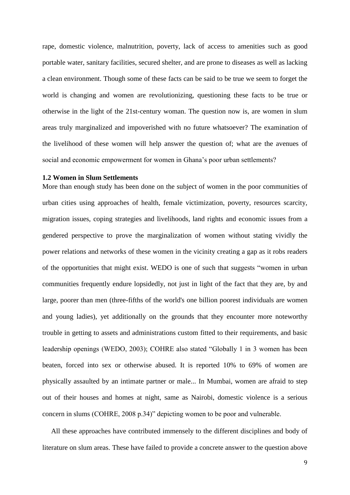rape, domestic violence, malnutrition, poverty, lack of access to amenities such as good portable water, sanitary facilities, secured shelter, and are prone to diseases as well as lacking a clean environment. Though some of these facts can be said to be true we seem to forget the world is changing and women are revolutionizing, questioning these facts to be true or otherwise in the light of the 21st-century woman. The question now is, are women in slum areas truly marginalized and impoverished with no future whatsoever? The examination of the livelihood of these women will help answer the question of; what are the avenues of social and economic empowerment for women in Ghana's poor urban settlements?

# **1.2 Women in Slum Settlements**

More than enough study has been done on the subject of women in the poor communities of urban cities using approaches of health, female victimization, poverty, resources scarcity, migration issues, coping strategies and livelihoods, land rights and economic issues from a gendered perspective to prove the marginalization of women without stating vividly the power relations and networks of these women in the vicinity creating a gap as it robs readers of the opportunities that might exist. WEDO is one of such that suggests "women in urban communities frequently endure lopsidedly, not just in light of the fact that they are, by and large, poorer than men (three-fifths of the world's one billion poorest individuals are women and young ladies), yet additionally on the grounds that they encounter more noteworthy trouble in getting to assets and administrations custom fitted to their requirements, and basic leadership openings (WEDO, 2003); COHRE also stated "Globally 1 in 3 women has been beaten, forced into sex or otherwise abused. It is reported 10% to 69% of women are physically assaulted by an intimate partner or male... In Mumbai, women are afraid to step out of their houses and homes at night, same as Nairobi, domestic violence is a serious concern in slums (COHRE, 2008 p.34)" depicting women to be poor and vulnerable.

 All these approaches have contributed immensely to the different disciplines and body of literature on slum areas. These have failed to provide a concrete answer to the question above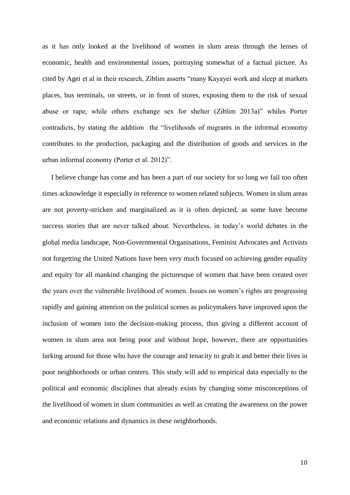as it has only looked at the livelihood of women in slum areas through the lenses of economic, health and environmental issues, portraying somewhat of a factual picture. As cited by Agei et al in their research, Ziblim asserts "many Kayayei work and sleep at markets places, bus terminals, on streets, or in front of stores, exposing them to the risk of sexual abuse or rape, while others exchange sex for shelter (Ziblim 2013a)" whiles Porter contradicts, by stating the addition the "livelihoods of migrants in the informal economy contributes to the production, packaging and the distribution of goods and services in the urban informal economy (Porter et al. 2012)".

 I believe change has come and has been a part of our society for so long we fail too often times acknowledge it especially in reference to women related subjects. Women in slum areas are not poverty-stricken and marginalized as it is often depicted, as some have become success stories that are never talked about. Nevertheless, in today's world debates in the global media landscape, Non-Governmental Organisations, Feminist Advocates and Activists not forgetting the United Nations have been very much focused on achieving gender equality and equity for all mankind changing the picturesque of women that have been created over the years over the vulnerable livelihood of women. Issues on women's rights are progressing rapidly and gaining attention on the political scenes as policymakers have improved upon the inclusion of women into the decision-making process, thus giving a different account of women in slum area not being poor and without hope, however, there are opportunities lurking around for those who have the courage and tenacity to grab it and better their lives in poor neighborhoods or urban centers. This study will add to empirical data especially to the political and economic disciplines that already exists by changing some misconceptions of the livelihood of women in slum communities as well as creating the awareness on the power and economic relations and dynamics in these neighborhoods.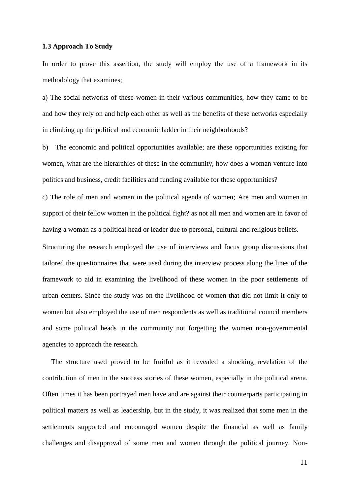# **1.3 Approach To Study**

In order to prove this assertion, the study will employ the use of a framework in its methodology that examines;

a) The social networks of these women in their various communities, how they came to be and how they rely on and help each other as well as the benefits of these networks especially in climbing up the political and economic ladder in their neighborhoods?

b) The economic and political opportunities available; are these opportunities existing for women, what are the hierarchies of these in the community, how does a woman venture into politics and business, credit facilities and funding available for these opportunities?

c) The role of men and women in the political agenda of women; Are men and women in support of their fellow women in the political fight? as not all men and women are in favor of having a woman as a political head or leader due to personal, cultural and religious beliefs.

Structuring the research employed the use of interviews and focus group discussions that tailored the questionnaires that were used during the interview process along the lines of the framework to aid in examining the livelihood of these women in the poor settlements of urban centers. Since the study was on the livelihood of women that did not limit it only to women but also employed the use of men respondents as well as traditional council members and some political heads in the community not forgetting the women non-governmental agencies to approach the research.

 The structure used proved to be fruitful as it revealed a shocking revelation of the contribution of men in the success stories of these women, especially in the political arena. Often times it has been portrayed men have and are against their counterparts participating in political matters as well as leadership, but in the study, it was realized that some men in the settlements supported and encouraged women despite the financial as well as family challenges and disapproval of some men and women through the political journey. Non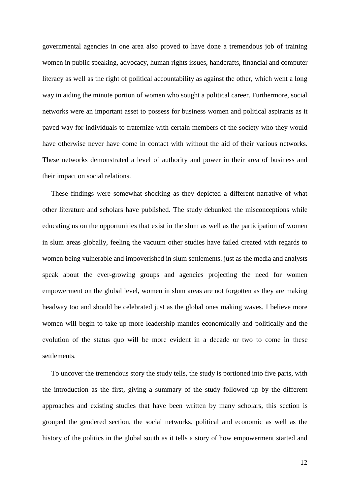governmental agencies in one area also proved to have done a tremendous job of training women in public speaking, advocacy, human rights issues, handcrafts, financial and computer literacy as well as the right of political accountability as against the other, which went a long way in aiding the minute portion of women who sought a political career. Furthermore, social networks were an important asset to possess for business women and political aspirants as it paved way for individuals to fraternize with certain members of the society who they would have otherwise never have come in contact with without the aid of their various networks. These networks demonstrated a level of authority and power in their area of business and their impact on social relations.

 These findings were somewhat shocking as they depicted a different narrative of what other literature and scholars have published. The study debunked the misconceptions while educating us on the opportunities that exist in the slum as well as the participation of women in slum areas globally, feeling the vacuum other studies have failed created with regards to women being vulnerable and impoverished in slum settlements. just as the media and analysts speak about the ever-growing groups and agencies projecting the need for women empowerment on the global level, women in slum areas are not forgotten as they are making headway too and should be celebrated just as the global ones making waves. I believe more women will begin to take up more leadership mantles economically and politically and the evolution of the status quo will be more evident in a decade or two to come in these settlements.

 To uncover the tremendous story the study tells, the study is portioned into five parts, with the introduction as the first, giving a summary of the study followed up by the different approaches and existing studies that have been written by many scholars, this section is grouped the gendered section, the social networks, political and economic as well as the history of the politics in the global south as it tells a story of how empowerment started and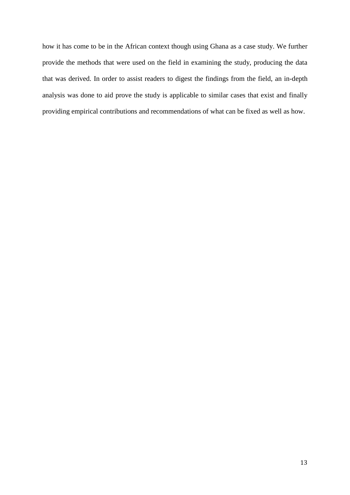<span id="page-13-0"></span>how it has come to be in the African context though using Ghana as a case study. We further provide the methods that were used on the field in examining the study, producing the data that was derived. In order to assist readers to digest the findings from the field, an in-depth analysis was done to aid prove the study is applicable to similar cases that exist and finally providing empirical contributions and recommendations of what can be fixed as well as how.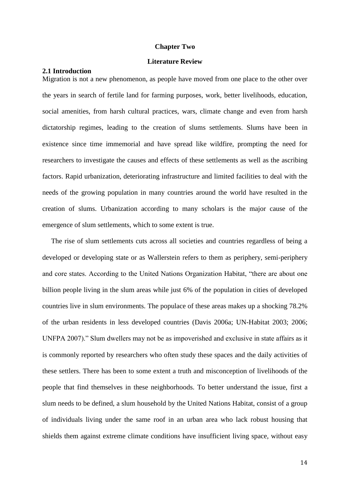# **Chapter Two**

# **Literature Review**

# <span id="page-14-1"></span><span id="page-14-0"></span>**2.1 Introduction**

Migration is not a new phenomenon, as people have moved from one place to the other over the years in search of fertile land for farming purposes, work, better livelihoods, education, social amenities, from harsh cultural practices, wars, climate change and even from harsh dictatorship regimes, leading to the creation of slums settlements. Slums have been in existence since time immemorial and have spread like wildfire, prompting the need for researchers to investigate the causes and effects of these settlements as well as the ascribing factors. Rapid urbanization, deteriorating infrastructure and limited facilities to deal with the needs of the growing population in many countries around the world have resulted in the creation of slums. Urbanization according to many scholars is the major cause of the emergence of slum settlements, which to some extent is true.

 The rise of slum settlements cuts across all societies and countries regardless of being a developed or developing state or as Wallerstein refers to them as periphery, semi-periphery and core states. According to the United Nations Organization Habitat, "there are about one billion people living in the slum areas while just 6% of the population in cities of developed countries live in slum environments. The populace of these areas makes up a shocking 78.2% of the urban residents in less developed countries (Davis 2006a; UN-Habitat 2003; 2006; UNFPA 2007)." Slum dwellers may not be as impoverished and exclusive in state affairs as it is commonly reported by researchers who often study these spaces and the daily activities of these settlers. There has been to some extent a truth and misconception of livelihoods of the people that find themselves in these neighborhoods. To better understand the issue, first a slum needs to be defined, a slum household by the United Nations Habitat, consist of a group of individuals living under the same roof in an urban area who lack robust housing that shields them against extreme climate conditions have insufficient living space, without easy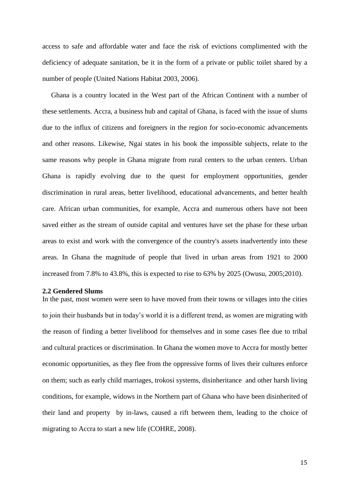access to safe and affordable water and face the risk of evictions complimented with the deficiency of adequate sanitation, be it in the form of a private or public toilet shared by a number of people (United Nations Habitat 2003, 2006).

 Ghana is a country located in the West part of the African Continent with a number of these settlements. Accra, a business hub and capital of Ghana, is faced with the issue of slums due to the influx of citizens and foreigners in the region for socio-economic advancements and other reasons. Likewise, Ngai states in his book the impossible subjects, relate to the same reasons why people in Ghana migrate from rural centers to the urban centers. Urban Ghana is rapidly evolving due to the quest for employment opportunities, gender discrimination in rural areas, better livelihood, educational advancements, and better health care. African urban communities, for example, Accra and numerous others have not been saved either as the stream of outside capital and ventures have set the phase for these urban areas to exist and work with the convergence of the country's assets inadvertently into these areas. In Ghana the magnitude of people that lived in urban areas from 1921 to 2000 increased from 7.8% to 43.8%, this is expected to rise to 63% by 2025 (Owusu, 2005;2010).

### <span id="page-15-0"></span>**2.2 Gendered Slums**

In the past, most women were seen to have moved from their towns or villages into the cities to join their husbands but in today's world it is a different trend, as women are migrating with the reason of finding a better livelihood for themselves and in some cases flee due to tribal and cultural practices or discrimination. In Ghana the women move to Accra for mostly better economic opportunities, as they flee from the oppressive forms of lives their cultures enforce on them; such as early child marriages, trokosi systems, disinheritance and other harsh living conditions, for example, widows in the Northern part of Ghana who have been disinherited of their land and property by in-laws, caused a rift between them, leading to the choice of migrating to Accra to start a new life (COHRE, 2008).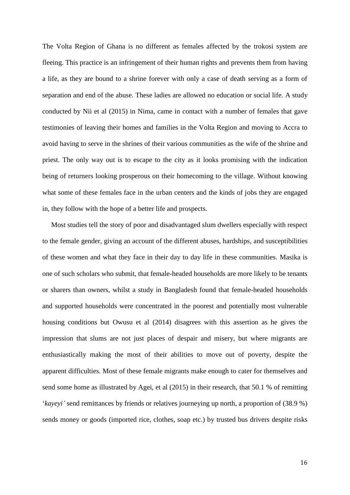The Volta Region of Ghana is no different as females affected by the trokosi system are fleeing. This practice is an infringement of their human rights and prevents them from having a life, as they are bound to a shrine forever with only a case of death serving as a form of separation and end of the abuse. These ladies are allowed no education or social life. A study conducted by Nii et al (2015) in Nima, came in contact with a number of females that gave testimonies of leaving their homes and families in the Volta Region and moving to Accra to avoid having to serve in the shrines of their various communities as the wife of the shrine and priest. The only way out is to escape to the city as it looks promising with the indication being of returners looking prosperous on their homecoming to the village. Without knowing what some of these females face in the urban centers and the kinds of jobs they are engaged in, they follow with the hope of a better life and prospects.

 Most studies tell the story of poor and disadvantaged slum dwellers especially with respect to the female gender, giving an account of the different abuses, hardships, and susceptibilities of these women and what they face in their day to day life in these communities. Masika is one of such scholars who submit, that female-headed households are more likely to be tenants or sharers than owners, whilst a study in Bangladesh found that female-headed households and supported households were concentrated in the poorest and potentially most vulnerable housing conditions but Owusu et al (2014) disagrees with this assertion as he gives the impression that slums are not just places of despair and misery, but where migrants are enthusiastically making the most of their abilities to move out of poverty, despite the apparent difficulties. Most of these female migrants make enough to cater for themselves and send some home as illustrated by Agei, et al (2015) in their research, that 50.1 % of remitting '*kayeyi'* send remittances by friends or relatives journeying up north, a proportion of (38.9 %) sends money or goods (imported rice, clothes, soap etc.) by trusted bus drivers despite risks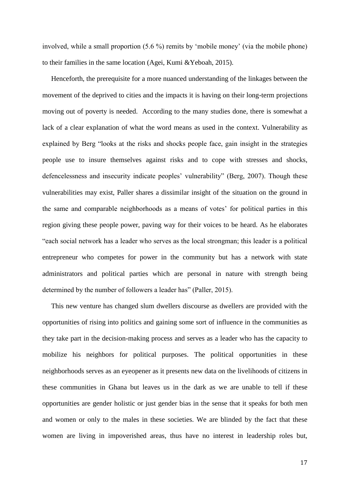involved, while a small proportion (5.6 %) remits by 'mobile money' (via the mobile phone) to their families in the same location (Agei, Kumi &Yeboah, 2015).

 Henceforth, the prerequisite for a more nuanced understanding of the linkages between the movement of the deprived to cities and the impacts it is having on their long-term projections moving out of poverty is needed. According to the many studies done, there is somewhat a lack of a clear explanation of what the word means as used in the context. Vulnerability as explained by Berg "looks at the risks and shocks people face, gain insight in the strategies people use to insure themselves against risks and to cope with stresses and shocks, defencelessness and insecurity indicate peoples' vulnerability" (Berg, 2007). Though these vulnerabilities may exist, Paller shares a dissimilar insight of the situation on the ground in the same and comparable neighborhoods as a means of votes' for political parties in this region giving these people power, paving way for their voices to be heard. As he elaborates "each social network has a leader who serves as the local strongman; this leader is a political entrepreneur who competes for power in the community but has a network with state administrators and political parties which are personal in nature with strength being determined by the number of followers a leader has" (Paller, 2015).

 This new venture has changed slum dwellers discourse as dwellers are provided with the opportunities of rising into politics and gaining some sort of influence in the communities as they take part in the decision-making process and serves as a leader who has the capacity to mobilize his neighbors for political purposes. The political opportunities in these neighborhoods serves as an eyeopener as it presents new data on the livelihoods of citizens in these communities in Ghana but leaves us in the dark as we are unable to tell if these opportunities are gender holistic or just gender bias in the sense that it speaks for both men and women or only to the males in these societies. We are blinded by the fact that these women are living in impoverished areas, thus have no interest in leadership roles but,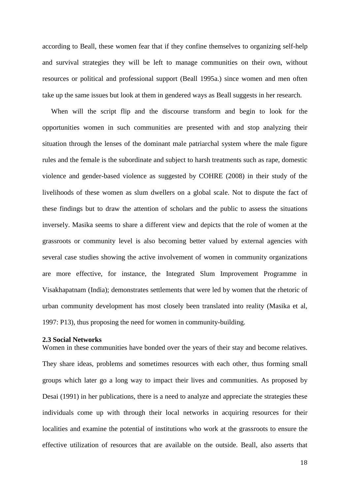according to Beall, these women fear that if they confine themselves to organizing self-help and survival strategies they will be left to manage communities on their own, without resources or political and professional support (Beall 1995a.) since women and men often take up the same issues but look at them in gendered ways as Beall suggests in her research.

 When will the script flip and the discourse transform and begin to look for the opportunities women in such communities are presented with and stop analyzing their situation through the lenses of the dominant male patriarchal system where the male figure rules and the female is the subordinate and subject to harsh treatments such as rape, domestic violence and gender-based violence as suggested by COHRE (2008) in their study of the livelihoods of these women as slum dwellers on a global scale. Not to dispute the fact of these findings but to draw the attention of scholars and the public to assess the situations inversely. Masika seems to share a different view and depicts that the role of women at the grassroots or community level is also becoming better valued by external agencies with several case studies showing the active involvement of women in community organizations are more effective, for instance, the Integrated Slum Improvement Programme in Visakhapatnam (India); demonstrates settlements that were led by women that the rhetoric of urban community development has most closely been translated into reality (Masika et al, 1997: P13), thus proposing the need for women in community-building.

# <span id="page-18-0"></span>**2.3 Social Networks**

Women in these communities have bonded over the years of their stay and become relatives. They share ideas, problems and sometimes resources with each other, thus forming small groups which later go a long way to impact their lives and communities. As proposed by Desai (1991) in her publications, there is a need to analyze and appreciate the strategies these individuals come up with through their local networks in acquiring resources for their localities and examine the potential of institutions who work at the grassroots to ensure the effective utilization of resources that are available on the outside. Beall, also asserts that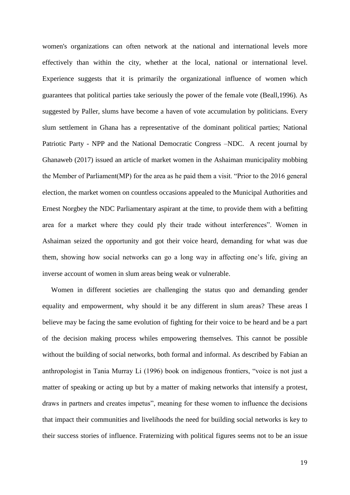women's organizations can often network at the national and international levels more effectively than within the city, whether at the local, national or international level. Experience suggests that it is primarily the organizational influence of women which guarantees that political parties take seriously the power of the female vote (Beall,1996). As suggested by Paller, slums have become a haven of vote accumulation by politicians. Every slum settlement in Ghana has a representative of the dominant political parties; National Patriotic Party - NPP and the National Democratic Congress –NDC. A recent journal by Ghanaweb (2017) issued an article of market women in the Ashaiman municipality mobbing the Member of Parliament(MP) for the area as he paid them a visit. "Prior to the 2016 general election, the market women on countless occasions appealed to the Municipal Authorities and Ernest Norgbey the NDC Parliamentary aspirant at the time, to provide them with a befitting area for a market where they could ply their trade without interferences". Women in Ashaiman seized the opportunity and got their voice heard, demanding for what was due them, showing how social networks can go a long way in affecting one's life, giving an inverse account of women in slum areas being weak or vulnerable.

 Women in different societies are challenging the status quo and demanding gender equality and empowerment, why should it be any different in slum areas? These areas I believe may be facing the same evolution of fighting for their voice to be heard and be a part of the decision making process whiles empowering themselves. This cannot be possible without the building of social networks, both formal and informal. As described by Fabian an anthropologist in Tania Murray Li (1996) book on indigenous frontiers, "voice is not just a matter of speaking or acting up but by a matter of making networks that intensify a protest, draws in partners and creates impetus", meaning for these women to influence the decisions that impact their communities and livelihoods the need for building social networks is key to their success stories of influence. Fraternizing with political figures seems not to be an issue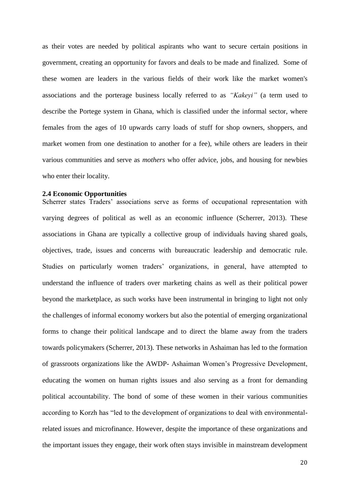as their votes are needed by political aspirants who want to secure certain positions in government, creating an opportunity for favors and deals to be made and finalized. Some of these women are leaders in the various fields of their work like the market women's associations and the porterage business locally referred to as *"Kakeyi"* (a term used to describe the Portege system in Ghana, which is classified under the informal sector, where females from the ages of 10 upwards carry loads of stuff for shop owners, shoppers, and market women from one destination to another for a fee), while others are leaders in their various communities and serve as *mothers* who offer advice, jobs, and housing for newbies who enter their locality.

## <span id="page-20-0"></span>**2.4 Economic Opportunities**

Scherrer states Traders' associations serve as forms of occupational representation with varying degrees of political as well as an economic influence (Scherrer, 2013). These associations in Ghana are typically a collective group of individuals having shared goals, objectives, trade, issues and concerns with bureaucratic leadership and democratic rule. Studies on particularly women traders' organizations, in general, have attempted to understand the influence of traders over marketing chains as well as their political power beyond the marketplace, as such works have been instrumental in bringing to light not only the challenges of informal economy workers but also the potential of emerging organizational forms to change their political landscape and to direct the blame away from the traders towards policymakers (Scherrer, 2013). These networks in Ashaiman has led to the formation of grassroots organizations like the AWDP- Ashaiman Women's Progressive Development, educating the women on human rights issues and also serving as a front for demanding political accountability. The bond of some of these women in their various communities according to Korzh has "led to the development of organizations to deal with environmentalrelated issues and microfinance. However, despite the importance of these organizations and the important issues they engage, their work often stays invisible in mainstream development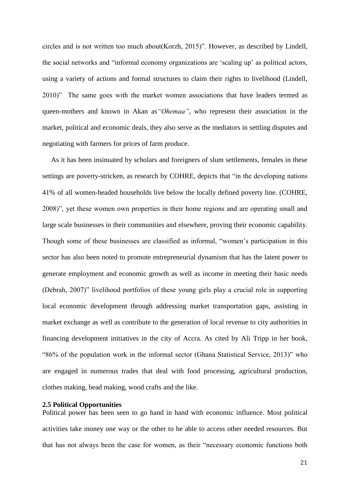circles and is not written too much about(Korzh, 2015)". However, as described by Lindell, the social networks and "informal economy organizations are 'scaling up' as political actors, using a variety of actions and formal structures to claim their rights to livelihood (Lindell, 2010)" The same goes with the market women associations that have leaders termed as queen-mothers and known in Akan as*"Ohemaa"*, who represent their association in the market, political and economic deals, they also serve as the mediators in settling disputes and negotiating with farmers for prices of farm produce.

 As it has been insinuated by scholars and foreigners of slum settlements, females in these settings are poverty-stricken, as research by COHRE, depicts that "in the developing nations 41% of all women-headed households live below the locally defined poverty line. (COHRE, 2008)", yet these women own properties in their home regions and are operating small and large scale businesses in their communities and elsewhere, proving their economic capability. Though some of these businesses are classified as informal, "women's participation in this sector has also been noted to promote entrepreneurial dynamism that has the latent power to generate employment and economic growth as well as income in meeting their basic needs (Debrah, 2007)" livelihood portfolios of these young girls play a crucial role in supporting local economic development through addressing market transportation gaps, assisting in market exchange as well as contribute to the generation of local revenue to city authorities in financing development initiatives in the city of Accra. As cited by Ali Tripp in her book, "86% of the population work in the informal sector (Ghana Statistical Service, 2013)" who are engaged in numerous trades that deal with food processing, agricultural production, clothes making, bead making, wood crafts and the like.

# <span id="page-21-0"></span>**2.5 Political Opportunities**

Political power has been seen to go hand in hand with economic influence. Most political activities take money one way or the other to be able to access other needed resources. But that has not always been the case for women, as their "necessary economic functions both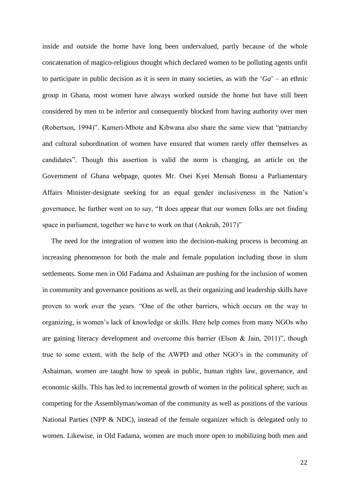inside and outside the home have long been undervalued, partly because of the whole concatenation of magico-religious thought which declared women to be polluting agents unfit to participate in public decision as it is seen in many societies, as with the '*Ga*' – an ethnic group in Ghana, most women have always worked outside the home but have still been considered by men to be inferior and consequently blocked from having authority over men (Robertson, 1994)". Kameri-Mbote and Kibwana also share the same view that "patriarchy and cultural subordination of women have ensured that women rarely offer themselves as candidates". Though this assertion is valid the norm is changing, an article on the Government of Ghana webpage, quotes Mr. Osei Kyei Mensah Bonsu a Parliamentary Affairs Minister-designate seeking for an equal gender inclusiveness in the Nation's governance, he further went on to say, "It does appear that our women folks are not finding space in parliament, together we have to work on that (Ankrah, 2017)"

 The need for the integration of women into the decision-making process is becoming an increasing phenomenon for both the male and female population including those in slum settlements. Some men in Old Fadama and Ashaiman are pushing for the inclusion of women in community and governance positions as well, as their organizing and leadership skills have proven to work over the years. "One of the other barriers, which occurs on the way to organizing, is women's lack of knowledge or skills. Here help comes from many NGOs who are gaining literacy development and overcome this barrier (Elson & Jain, 2011)", though true to some extent, with the help of the AWPD and other NGO's in the community of Ashaiman, women are taught how to speak in public, human rights law, governance, and economic skills. This has led to incremental growth of women in the political sphere; such as competing for the Assemblyman/woman of the community as well as positions of the various National Parties (NPP & NDC), instead of the female organizer which is delegated only to women. Likewise, in Old Fadama, women are much more open to mobilizing both men and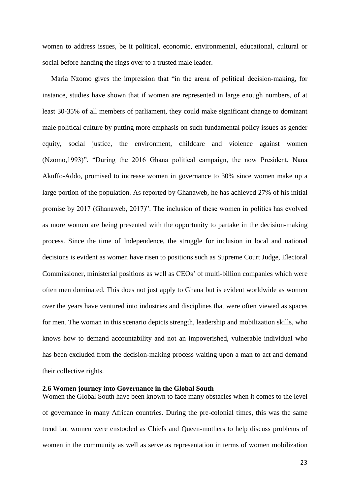women to address issues, be it political, economic, environmental, educational, cultural or social before handing the rings over to a trusted male leader.

 Maria Nzomo gives the impression that "in the arena of political decision-making, for instance, studies have shown that if women are represented in large enough numbers, of at least 30-35% of all members of parliament, they could make significant change to dominant male political culture by putting more emphasis on such fundamental policy issues as gender equity, social justice, the environment, childcare and violence against women (Nzomo,1993)". "During the 2016 Ghana political campaign, the now President, Nana Akuffo-Addo, promised to increase women in governance to 30% since women make up a large portion of the population. As reported by Ghanaweb, he has achieved 27% of his initial promise by 2017 (Ghanaweb, 2017)". The inclusion of these women in politics has evolved as more women are being presented with the opportunity to partake in the decision-making process. Since the time of Independence, the struggle for inclusion in local and national decisions is evident as women have risen to positions such as Supreme Court Judge, Electoral Commissioner, ministerial positions as well as CEOs' of multi-billion companies which were often men dominated. This does not just apply to Ghana but is evident worldwide as women over the years have ventured into industries and disciplines that were often viewed as spaces for men. The woman in this scenario depicts strength, leadership and mobilization skills, who knows how to demand accountability and not an impoverished, vulnerable individual who has been excluded from the decision-making process waiting upon a man to act and demand their collective rights.

# <span id="page-23-0"></span>**2.6 Women journey into Governance in the Global South**

Women the Global South have been known to face many obstacles when it comes to the level of governance in many African countries. During the pre-colonial times, this was the same trend but women were enstooled as Chiefs and Queen-mothers to help discuss problems of women in the community as well as serve as representation in terms of women mobilization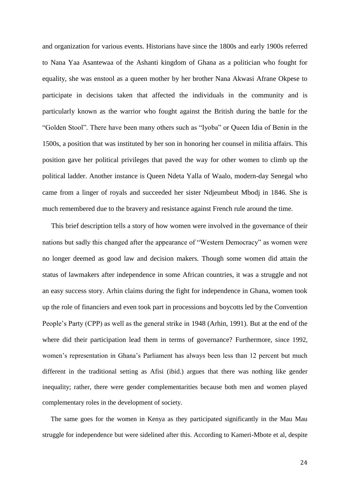and organization for various events. Historians have since the 1800s and early 1900s referred to Nana Yaa Asantewaa of the Ashanti kingdom of Ghana as a politician who fought for equality, she was enstool as a queen mother by her brother Nana Akwasi Afrane Okpese to participate in decisions taken that affected the individuals in the community and is particularly known as the warrior who fought against the British during the battle for the "Golden Stool". There have been many others such as "Iyoba" or Queen Idia of Benin in the 1500s, a position that was instituted by her son in honoring her counsel in militia affairs. This position gave her political privileges that paved the way for other women to climb up the political ladder. Another instance is Queen Ndeta Yalla of Waalo, modern-day Senegal who came from a linger of royals and succeeded her sister Ndjeumbeut Mbodj in 1846. She is much remembered due to the bravery and resistance against French rule around the time.

 This brief description tells a story of how women were involved in the governance of their nations but sadly this changed after the appearance of "Western Democracy" as women were no longer deemed as good law and decision makers. Though some women did attain the status of lawmakers after independence in some African countries, it was a struggle and not an easy success story. Arhin claims during the fight for independence in Ghana, women took up the role of financiers and even took part in processions and boycotts led by the Convention People's Party (CPP) as well as the general strike in 1948 (Arhin, 1991). But at the end of the where did their participation lead them in terms of governance? Furthermore, since 1992, women's representation in Ghana's Parliament has always been less than 12 percent but much different in the traditional setting as Afisi (ibid.) argues that there was nothing like gender inequality; rather, there were gender complementarities because both men and women played complementary roles in the development of society.

 The same goes for the women in Kenya as they participated significantly in the Mau Mau struggle for independence but were sidelined after this. According to Kameri-Mbote et al, despite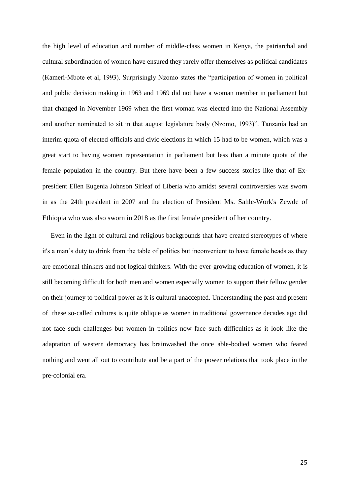the high level of education and number of middle-class women in Kenya, the patriarchal and cultural subordination of women have ensured they rarely offer themselves as political candidates (Kameri-Mbote et al, 1993). Surprisingly Nzomo states the "participation of women in political and public decision making in 1963 and 1969 did not have a woman member in parliament but that changed in November 1969 when the first woman was elected into the National Assembly and another nominated to sit in that august legislature body (Nzomo, 1993)". Tanzania had an interim quota of elected officials and civic elections in which 15 had to be women, which was a great start to having women representation in parliament but less than a minute quota of the female population in the country. But there have been a few success stories like that of Expresident Ellen Eugenia Johnson Sirleaf of Liberia who amidst several controversies was sworn in as the 24th president in 2007 and the election of President Ms. Sahle-Work's Zewde of Ethiopia who was also sworn in 2018 as the first female president of her country.

 Even in the light of cultural and religious backgrounds that have created stereotypes of where it's a man's duty to drink from the table of politics but inconvenient to have female heads as they are emotional thinkers and not logical thinkers. With the ever-growing education of women, it is still becoming difficult for both men and women especially women to support their fellow gender on their journey to political power as it is cultural unaccepted. Understanding the past and present of these so-called cultures is quite oblique as women in traditional governance decades ago did not face such challenges but women in politics now face such difficulties as it look like the adaptation of western democracy has brainwashed the once able-bodied women who feared nothing and went all out to contribute and be a part of the power relations that took place in the pre-colonial era.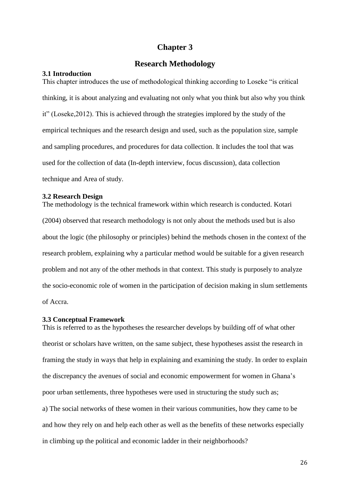# **Chapter 3**

# **Research Methodology**

# <span id="page-26-2"></span><span id="page-26-1"></span><span id="page-26-0"></span>**3.1 Introduction**

This chapter introduces the use of methodological thinking according to Loseke "is critical thinking, it is about analyzing and evaluating not only what you think but also why you think it" (Loseke,2012). This is achieved through the strategies implored by the study of the empirical techniques and the research design and used, such as the population size, sample and sampling procedures, and procedures for data collection. It includes the tool that was used for the collection of data (In-depth interview, focus discussion), data collection technique and Area of study.

# <span id="page-26-3"></span>**3.2 Research Design**

The methodology is the technical framework within which research is conducted. Kotari (2004) observed that research methodology is not only about the methods used but is also about the logic (the philosophy or principles) behind the methods chosen in the context of the research problem, explaining why a particular method would be suitable for a given research problem and not any of the other methods in that context. This study is purposely to analyze the socio-economic role of women in the participation of decision making in slum settlements of Accra.

#### <span id="page-26-4"></span>**3.3 Conceptual Framework**

This is referred to as the hypotheses the researcher develops by building off of what other theorist or scholars have written, on the same subject, these hypotheses assist the research in framing the study in ways that help in explaining and examining the study. In order to explain the discrepancy the avenues of social and economic empowerment for women in Ghana's poor urban settlements, three hypotheses were used in structuring the study such as; a) The social networks of these women in their various communities, how they came to be and how they rely on and help each other as well as the benefits of these networks especially in climbing up the political and economic ladder in their neighborhoods?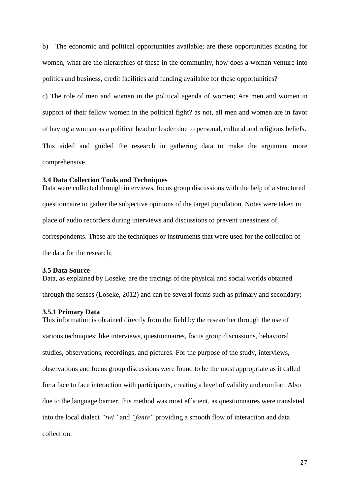b) The economic and political opportunities available; are these opportunities existing for women, what are the hierarchies of these in the community, how does a woman venture into politics and business, credit facilities and funding available for these opportunities?

c) The role of men and women in the political agenda of women; Are men and women in support of their fellow women in the political fight? as not, all men and women are in favor of having a woman as a political head or leader due to personal, cultural and religious beliefs. This aided and guided the research in gathering data to make the argument more comprehensive.

# <span id="page-27-0"></span>**3.4 Data Collection Tools and Techniques**

Data were collected through interviews, focus group discussions with the help of a structured questionnaire to gather the subjective opinions of the target population. Notes were taken in place of audio recorders during interviews and discussions to prevent uneasiness of correspondents. These are the techniques or instruments that were used for the collection of the data for the research;

# <span id="page-27-1"></span>**3.5 Data Source**

Data, as explained by Loseke, are the tracings of the physical and social worlds obtained through the senses (Loseke, 2012) and can be several forms such as primary and secondary;

# <span id="page-27-2"></span>**3.5.1 Primary Data**

This information is obtained directly from the field by the researcher through the use of various techniques; like interviews, questionnaires, focus group discussions, behavioral studies, observations, recordings, and pictures. For the purpose of the study, interviews, observations and focus group discussions were found to be the most appropriate as it called for a face to face interaction with participants, creating a level of validity and comfort. Also due to the language barrier, this method was most efficient, as questionnaires were translated into the local dialect *"twi"* and *"fante"* providing a smooth flow of interaction and data collection.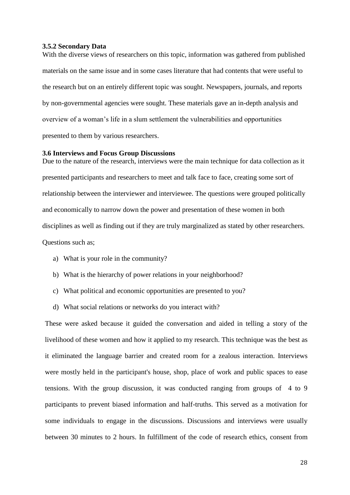# <span id="page-28-0"></span>**3.5.2 Secondary Data**

With the diverse views of researchers on this topic, information was gathered from published materials on the same issue and in some cases literature that had contents that were useful to the research but on an entirely different topic was sought. Newspapers, journals, and reports by non-governmental agencies were sought. These materials gave an in-depth analysis and overview of a woman's life in a slum settlement the vulnerabilities and opportunities presented to them by various researchers.

# <span id="page-28-1"></span>**3.6 Interviews and Focus Group Discussions**

Due to the nature of the research, interviews were the main technique for data collection as it presented participants and researchers to meet and talk face to face, creating some sort of relationship between the interviewer and interviewee. The questions were grouped politically and economically to narrow down the power and presentation of these women in both disciplines as well as finding out if they are truly marginalized as stated by other researchers. Questions such as;

- a) What is your role in the community?
- b) What is the hierarchy of power relations in your neighborhood?
- c) What political and economic opportunities are presented to you?
- d) What social relations or networks do you interact with?

These were asked because it guided the conversation and aided in telling a story of the livelihood of these women and how it applied to my research. This technique was the best as it eliminated the language barrier and created room for a zealous interaction. Interviews were mostly held in the participant's house, shop, place of work and public spaces to ease tensions. With the group discussion, it was conducted ranging from groups of 4 to 9 participants to prevent biased information and half-truths. This served as a motivation for some individuals to engage in the discussions. Discussions and interviews were usually between 30 minutes to 2 hours. In fulfillment of the code of research ethics, consent from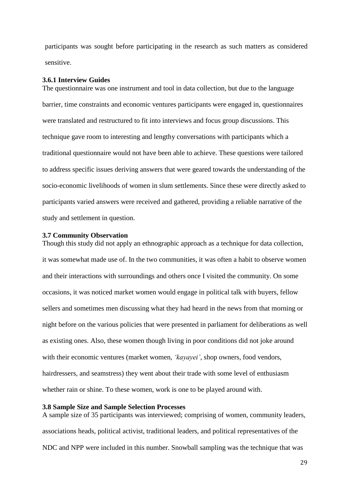participants was sought before participating in the research as such matters as considered sensitive.

# <span id="page-29-0"></span>**3.6.1 Interview Guides**

The questionnaire was one instrument and tool in data collection, but due to the language barrier, time constraints and economic ventures participants were engaged in, questionnaires were translated and restructured to fit into interviews and focus group discussions. This technique gave room to interesting and lengthy conversations with participants which a traditional questionnaire would not have been able to achieve. These questions were tailored to address specific issues deriving answers that were geared towards the understanding of the socio-economic livelihoods of women in slum settlements. Since these were directly asked to participants varied answers were received and gathered, providing a reliable narrative of the study and settlement in question.

# <span id="page-29-1"></span>**3.7 Community Observation**

Though this study did not apply an ethnographic approach as a technique for data collection, it was somewhat made use of. In the two communities, it was often a habit to observe women and their interactions with surroundings and others once I visited the community. On some occasions, it was noticed market women would engage in political talk with buyers, fellow sellers and sometimes men discussing what they had heard in the news from that morning or night before on the various policies that were presented in parliament for deliberations as well as existing ones. Also, these women though living in poor conditions did not joke around with their economic ventures (market women, *'kayayei'*, shop owners, food vendors, hairdressers, and seamstress) they went about their trade with some level of enthusiasm whether rain or shine. To these women, work is one to be played around with.

# <span id="page-29-2"></span>**3.8 Sample Size and Sample Selection Processes**

A sample size of 35 participants was interviewed; comprising of women, community leaders, associations heads, political activist, traditional leaders, and political representatives of the NDC and NPP were included in this number. Snowball sampling was the technique that was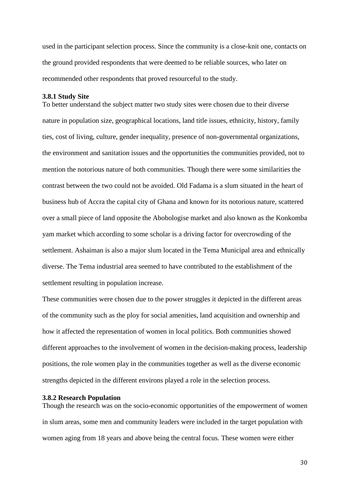used in the participant selection process. Since the community is a close-knit one, contacts on the ground provided respondents that were deemed to be reliable sources, who later on recommended other respondents that proved resourceful to the study.

## <span id="page-30-0"></span>**3.8.1 Study Site**

To better understand the subject matter two study sites were chosen due to their diverse nature in population size, geographical locations, land title issues, ethnicity, history, family ties, cost of living, culture, gender inequality, presence of non-governmental organizations, the environment and sanitation issues and the opportunities the communities provided, not to mention the notorious nature of both communities. Though there were some similarities the contrast between the two could not be avoided. Old Fadama is a slum situated in the heart of business hub of Accra the capital city of Ghana and known for its notorious nature, scattered over a small piece of land opposite the Abobologise market and also known as the Konkomba yam market which according to some scholar is a driving factor for overcrowding of the settlement. Ashaiman is also a major slum located in the Tema Municipal area and ethnically diverse. The Tema industrial area seemed to have contributed to the establishment of the settlement resulting in population increase.

These communities were chosen due to the power struggles it depicted in the different areas of the community such as the ploy for social amenities, land acquisition and ownership and how it affected the representation of women in local politics. Both communities showed different approaches to the involvement of women in the decision-making process, leadership positions, the role women play in the communities together as well as the diverse economic strengths depicted in the different environs played a role in the selection process.

#### <span id="page-30-1"></span>**3.8.2 Research Population**

Though the research was on the socio-economic opportunities of the empowerment of women in slum areas, some men and community leaders were included in the target population with women aging from 18 years and above being the central focus. These women were either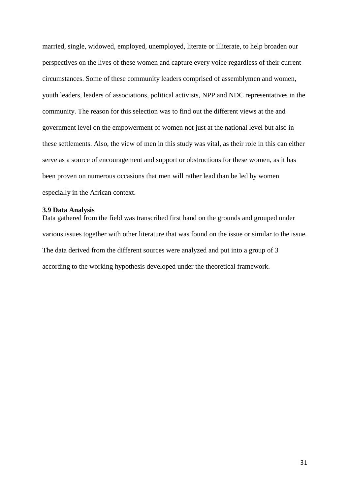married, single, widowed, employed, unemployed, literate or illiterate, to help broaden our perspectives on the lives of these women and capture every voice regardless of their current circumstances. Some of these community leaders comprised of assemblymen and women, youth leaders, leaders of associations, political activists, NPP and NDC representatives in the community. The reason for this selection was to find out the different views at the and government level on the empowerment of women not just at the national level but also in these settlements. Also, the view of men in this study was vital, as their role in this can either serve as a source of encouragement and support or obstructions for these women, as it has been proven on numerous occasions that men will rather lead than be led by women especially in the African context.

# <span id="page-31-0"></span>**3.9 Data Analysis**

Data gathered from the field was transcribed first hand on the grounds and grouped under various issues together with other literature that was found on the issue or similar to the issue. The data derived from the different sources were analyzed and put into a group of 3 according to the working hypothesis developed under the theoretical framework.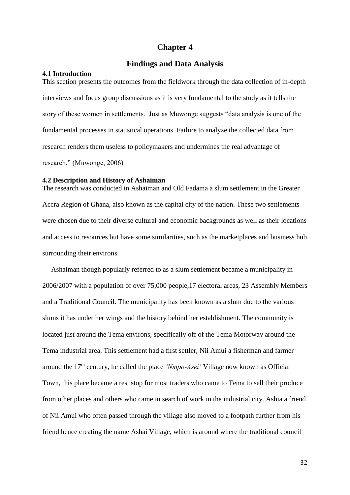# **Chapter 4**

# **Findings and Data Analysis**

# <span id="page-32-2"></span><span id="page-32-1"></span><span id="page-32-0"></span>**4.1 Introduction**

This section presents the outcomes from the fieldwork through the data collection of in-depth interviews and focus group discussions as it is very fundamental to the study as it tells the story of these women in settlements. Just as Muwonge suggests "data analysis is one of the fundamental processes in statistical operations. Failure to analyze the collected data from research renders them useless to policymakers and undermines the real advantage of research." (Muwonge, 2006)

# <span id="page-32-3"></span>**4.2 Description and History of Ashaiman**

The research was conducted in Ashaiman and Old Fadama a slum settlement in the Greater Accra Region of Ghana, also known as the capital city of the nation. These two settlements were chosen due to their diverse cultural and economic backgrounds as well as their locations and access to resources but have some similarities, such as the marketplaces and business hub surrounding their environs.

 Ashaiman though popularly referred to as a slum settlement became a municipality in 2006/2007 with a population of over 75,000 people,17 electoral areas, 23 Assembly Members and a Traditional Council. The municipality has been known as a slum due to the various slums it has under her wings and the history behind her establishment. The community is located just around the Tema environs, specifically off of the Tema Motorway around the Tema industrial area. This settlement had a first settler, Nii Amui a fisherman and farmer around the 17th century, he called the place *'Nmpo-Asei'* Village now known as Official Town, this place became a rest stop for most traders who came to Tema to sell their produce from other places and others who came in search of work in the industrial city. Ashia a friend of Nii Amui who often passed through the village also moved to a footpath further from his friend hence creating the name Ashai Village, which is around where the traditional council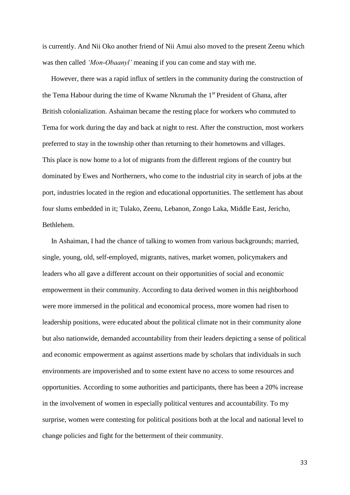is currently. And Nii Oko another friend of Nii Amui also moved to the present Zeenu which was then called *'Mon-Obaanyl'* meaning if you can come and stay with me.

 However, there was a rapid influx of settlers in the community during the construction of the Tema Habour during the time of Kwame Nkrumah the 1<sup>sr</sup> President of Ghana, after British colonialization. Ashaiman became the resting place for workers who commuted to Tema for work during the day and back at night to rest. After the construction, most workers preferred to stay in the township other than returning to their hometowns and villages. This place is now home to a lot of migrants from the different regions of the country but dominated by Ewes and Northerners, who come to the industrial city in search of jobs at the port, industries located in the region and educational opportunities. The settlement has about four slums embedded in it; Tulako, Zeenu, Lebanon, Zongo Laka, Middle East, Jericho, Bethlehem.

 In Ashaiman, I had the chance of talking to women from various backgrounds; married, single, young, old, self-employed, migrants, natives, market women, policymakers and leaders who all gave a different account on their opportunities of social and economic empowerment in their community. According to data derived women in this neighborhood were more immersed in the political and economical process, more women had risen to leadership positions, were educated about the political climate not in their community alone but also nationwide, demanded accountability from their leaders depicting a sense of political and economic empowerment as against assertions made by scholars that individuals in such environments are impoverished and to some extent have no access to some resources and opportunities. According to some authorities and participants, there has been a 20% increase in the involvement of women in especially political ventures and accountability. To my surprise, women were contesting for political positions both at the local and national level to change policies and fight for the betterment of their community.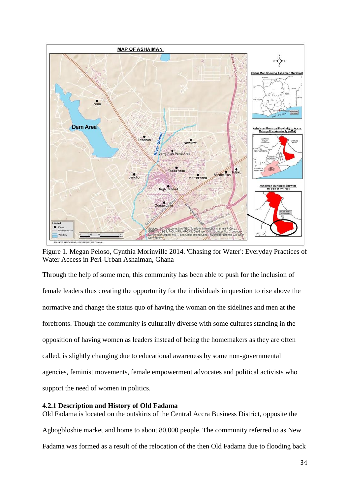

Figure 1. [Megan Peloso,](https://www.researchgate.net/profile/Megan_Peloso?_sg%5B_sg%5D=0UObIYUI_ykV7_cQii5QcCRteK5UShq44oFMIxXcRyz2WuRdn-RfdocE0o8FCb7HoN9lvJdKmEGdnA) [Cynthia Morinville](https://www.researchgate.net/scientific-contributions/2033084646_Cynthia_Morinville?_sg%5B_sg%5D=0UObIYUI_ykV7_cQii5QcCRteK5UShq44oFMIxXcRyz2WuRdn-RfdocE0o8FCb7HoN9lvJdKmEGdnA) 2014. ['Chasing for Water': Everyday Practices of](https://www.researchgate.net/publication/286380564_)  [Water Access in Peri-Urban Ashaiman, Ghana](https://www.researchgate.net/publication/286380564_)

Through the help of some men, this community has been able to push for the inclusion of female leaders thus creating the opportunity for the individuals in question to rise above the normative and change the status quo of having the woman on the sidelines and men at the forefronts. Though the community is culturally diverse with some cultures standing in the opposition of having women as leaders instead of being the homemakers as they are often called, is slightly changing due to educational awareness by some non-governmental agencies, feminist movements, female empowerment advocates and political activists who support the need of women in politics.

# <span id="page-34-0"></span>**4.2.1 Description and History of Old Fadama**

Old Fadama is located on the outskirts of the Central Accra Business District, opposite the Agbogbloshie market and home to about 80,000 people. The community referred to as New Fadama was formed as a result of the relocation of the then Old Fadama due to flooding back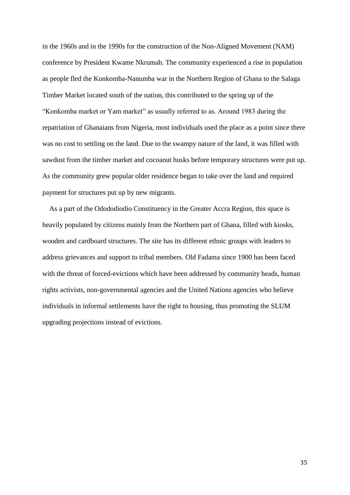in the 1960s and in the 1990s for the construction of the Non-Aligned Movement (NAM) conference by President Kwame Nkrumah. The community experienced a rise in population as people fled the Konkomba-Nanumba war in the Northern Region of Ghana to the Salaga Timber Market located south of the nation, this contributed to the spring up of the "Konkomba market or Yam market" as usually referred to as. Around 1983 during the repatriation of Ghanaians from Nigeria, most individuals used the place as a point since there was no cost to settling on the land. Due to the swampy nature of the land, it was filled with sawdust from the timber market and cocoanut husks before temporary structures were put up. As the community grew popular older residence began to take over the land and required payment for structures put up by new migrants.

 As a part of the Odododiodio Constituency in the Greater Accra Region, this space is heavily populated by citizens mainly from the Northern part of Ghana, filled with kiosks, wooden and cardboard structures. The site has its different ethnic groups with leaders to address grievances and support to tribal members. Old Fadama since 1900 has been faced with the threat of forced-evictions which have been addressed by community heads, human rights activists, non-governmental agencies and the United Nations agencies who believe individuals in informal settlements have the right to housing, thus promoting the SLUM upgrading projections instead of evictions.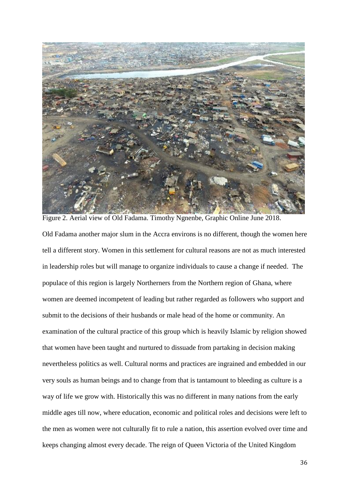

Old Fadama another major slum in the Accra environs is no different, though the women here tell a different story. Women in this settlement for cultural reasons are not as much interested in leadership roles but will manage to organize individuals to cause a change if needed. The populace of this region is largely Northerners from the Northern region of Ghana, where women are deemed incompetent of leading but rather regarded as followers who support and submit to the decisions of their husbands or male head of the home or community. An examination of the cultural practice of this group which is heavily Islamic by religion showed that women have been taught and nurtured to dissuade from partaking in decision making nevertheless politics as well. Cultural norms and practices are ingrained and embedded in our very souls as human beings and to change from that is tantamount to bleeding as culture is a way of life we grow with. Historically this was no different in many nations from the early middle ages till now, where education, economic and political roles and decisions were left to the men as women were not culturally fit to rule a nation, this assertion evolved over time and keeps changing almost every decade. The reign of Queen Victoria of the United Kingdom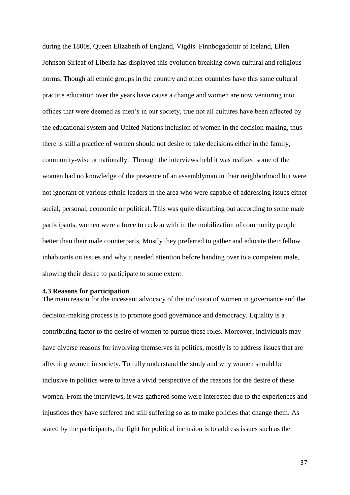during the 1800s, Queen Elizabeth of England, Vigdis Finnbogadottir of Iceland, Ellen Johnson Sirleaf of Liberia has displayed this evolution breaking down cultural and religious norms. Though all ethnic groups in the country and other countries have this same cultural practice education over the years have cause a change and women are now venturing into offices that were deemed as men's in our society, true not all cultures have been affected by the educational system and United Nations inclusion of women in the decision making, thus there is still a practice of women should not desire to take decisions either in the family, community-wise or nationally. Through the interviews held it was realized some of the women had no knowledge of the presence of an assemblyman in their neighborhood but were not ignorant of various ethnic leaders in the area who were capable of addressing issues either social, personal, economic or political. This was quite disturbing but according to some male participants, women were a force to reckon with in the mobilization of community people better than their male counterparts. Mostly they preferred to gather and educate their fellow inhabitants on issues and why it needed attention before handing over to a competent male, showing their desire to participate to some extent.

### <span id="page-37-0"></span>**4.3 Reasons for participation**

The main reason for the incessant advocacy of the inclusion of women in governance and the decision-making process is to promote good governance and democracy. Equality is a contributing factor to the desire of women to pursue these roles. Moreover, individuals may have diverse reasons for involving themselves in politics, mostly is to address issues that are affecting women in society. To fully understand the study and why women should be inclusive in politics were to have a vivid perspective of the reasons for the desire of these women. From the interviews, it was gathered some were interested due to the experiences and injustices they have suffered and still suffering so as to make policies that change them. As stated by the participants, the fight for political inclusion is to address issues such as the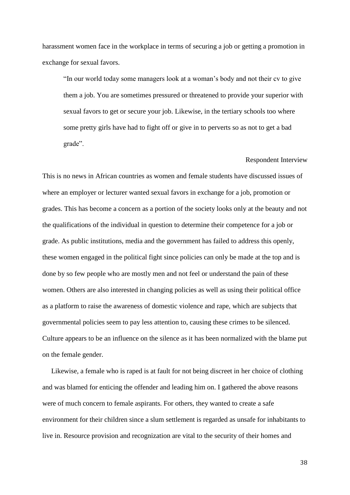harassment women face in the workplace in terms of securing a job or getting a promotion in exchange for sexual favors.

"In our world today some managers look at a woman's body and not their cv to give them a job. You are sometimes pressured or threatened to provide your superior with sexual favors to get or secure your job. Likewise, in the tertiary schools too where some pretty girls have had to fight off or give in to perverts so as not to get a bad grade".

#### Respondent Interview

This is no news in African countries as women and female students have discussed issues of where an employer or lecturer wanted sexual favors in exchange for a job, promotion or grades. This has become a concern as a portion of the society looks only at the beauty and not the qualifications of the individual in question to determine their competence for a job or grade. As public institutions, media and the government has failed to address this openly, these women engaged in the political fight since policies can only be made at the top and is done by so few people who are mostly men and not feel or understand the pain of these women. Others are also interested in changing policies as well as using their political office as a platform to raise the awareness of domestic violence and rape, which are subjects that governmental policies seem to pay less attention to, causing these crimes to be silenced. Culture appears to be an influence on the silence as it has been normalized with the blame put on the female gender.

 Likewise, a female who is raped is at fault for not being discreet in her choice of clothing and was blamed for enticing the offender and leading him on. I gathered the above reasons were of much concern to female aspirants. For others, they wanted to create a safe environment for their children since a slum settlement is regarded as unsafe for inhabitants to live in. Resource provision and recognization are vital to the security of their homes and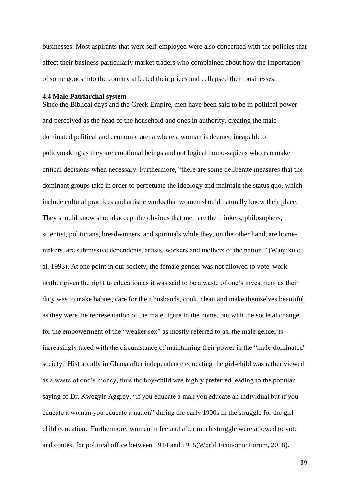businesses. Most aspirants that were self-employed were also concerned with the policies that affect their business particularly market traders who complained about how the importation of some goods into the country affected their prices and collapsed their businesses.

#### <span id="page-39-0"></span>**4.4 Male Patriarchal system**

Since the Biblical days and the Greek Empire, men have been said to be in political power and perceived as the head of the household and ones in authority, creating the maledominated political and economic arena where a woman is deemed incapable of policymaking as they are emotional beings and not logical homo-sapiens who can make critical decisions when necessary. Furthermore, "there are some deliberate measures that the dominant groups take in order to perpetuate the ideology and maintain the status quo, which include cultural practices and artistic works that women should naturally know their place. They should know should accept the obvious that men are the thinkers, philosophers, scientist, politicians, breadwinners, and spirituals while they, on the other hand, are homemakers, are submissive dependents, artists, workers and mothers of the nation." (Wanjiku et al, 1993). At one point in our society, the female gender was not allowed to vote, work neither given the right to education as it was said to be a waste of one's investment as their duty was to make babies, care for their husbands, cook, clean and make themselves beautiful as they were the representation of the male figure in the home, but with the societal change for the empowerment of the "weaker sex" as mostly referred to as, the male gender is increasingly faced with the circumstance of maintaining their power in the "male-dominated" society. Historically in Ghana after independence educating the girl-child was rather viewed as a waste of one's money, thus the boy-child was highly preferred leading to the popular saying of Dr. Kwegyir-Aggrey, "if you educate a man you educate an individual but if you educate a woman you educate a nation" during the early 1900s in the struggle for the girlchild education. Furthermore, women in Iceland after much struggle were allowed to vote and contest for political office between 1914 and 1915(World Economic Forum, 2018).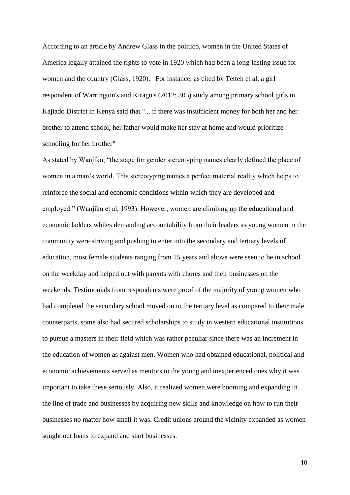According to an article by Andrew Glass in the politico, women in the United States of America legally attained the rights to vote in 1920 which had been a long-lasting issue for women and the country (Glass, 1920). For instance, as cited by Tetteh et al, a girl respondent of Warrington's and Kiragu's (2012: 305) study among primary school girls in Kajiado District in Kenya said that "... if there was insufficient money for both her and her brother to attend school, her father would make her stay at home and would prioritize schooling for her brother"

As stated by Wanjiku, "the stage for gender stereotyping names clearly defined the place of women in a man's world. This stereotyping names a perfect material reality which helps to reinforce the social and economic conditions within which they are developed and employed." (Wanjiku et al, 1993). However, women are climbing up the educational and economic ladders whiles demanding accountability from their leaders as young women in the community were striving and pushing to enter into the secondary and tertiary levels of education, most female students ranging from 15 years and above were seen to be in school on the weekday and helped out with parents with chores and their businesses on the weekends. Testimonials from respondents were proof of the majority of young women who had completed the secondary school moved on to the tertiary level as compared to their male counterparts, some also had secured scholarships to study in western educational institutions to pursue a masters in their field which was rather peculiar since there was an increment in the education of women as against men. Women who had obtained educational, political and economic achievements served as mentors to the young and inexperienced ones why it was important to take these seriously. Also, it realized women were booming and expanding in the line of trade and businesses by acquiring new skills and knowledge on how to run their businesses no matter how small it was. Credit unions around the vicinity expanded as women sought out loans to expand and start businesses.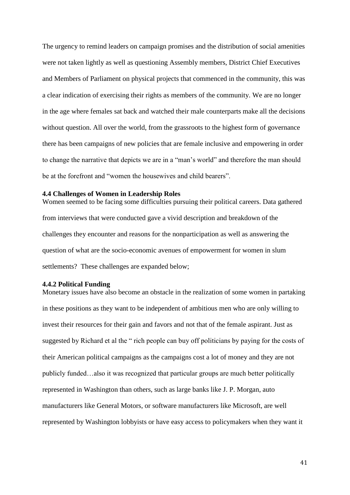The urgency to remind leaders on campaign promises and the distribution of social amenities were not taken lightly as well as questioning Assembly members, District Chief Executives and Members of Parliament on physical projects that commenced in the community, this was a clear indication of exercising their rights as members of the community. We are no longer in the age where females sat back and watched their male counterparts make all the decisions without question. All over the world, from the grassroots to the highest form of governance there has been campaigns of new policies that are female inclusive and empowering in order to change the narrative that depicts we are in a "man's world" and therefore the man should be at the forefront and "women the housewives and child bearers".

#### <span id="page-41-0"></span>**4.4 Challenges of Women in Leadership Roles**

Women seemed to be facing some difficulties pursuing their political careers. Data gathered from interviews that were conducted gave a vivid description and breakdown of the challenges they encounter and reasons for the nonparticipation as well as answering the question of what are the socio-economic avenues of empowerment for women in slum settlements? These challenges are expanded below;

# <span id="page-41-1"></span>**4.4.2 Political Funding**

Monetary issues have also become an obstacle in the realization of some women in partaking in these positions as they want to be independent of ambitious men who are only willing to invest their resources for their gain and favors and not that of the female aspirant. Just as suggested by Richard et al the " rich people can buy off politicians by paying for the costs of their American political campaigns as the campaigns cost a lot of money and they are not publicly funded…also it was recognized that particular groups are much better politically represented in Washington than others, such as large banks like J. P. Morgan, auto manufacturers like General Motors, or software manufacturers like Microsoft, are well represented by Washington lobbyists or have easy access to policymakers when they want it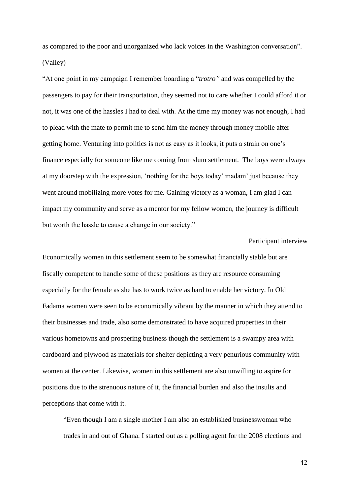as compared to the poor and unorganized who lack voices in the Washington conversation". (Valley)

"At one point in my campaign I remember boarding a "*trotro"* and was compelled by the passengers to pay for their transportation, they seemed not to care whether I could afford it or not, it was one of the hassles I had to deal with. At the time my money was not enough, I had to plead with the mate to permit me to send him the money through money mobile after getting home. Venturing into politics is not as easy as it looks, it puts a strain on one's finance especially for someone like me coming from slum settlement. The boys were always at my doorstep with the expression, 'nothing for the boys today' madam' just because they went around mobilizing more votes for me. Gaining victory as a woman, I am glad I can impact my community and serve as a mentor for my fellow women, the journey is difficult but worth the hassle to cause a change in our society."

# Participant interview

Economically women in this settlement seem to be somewhat financially stable but are fiscally competent to handle some of these positions as they are resource consuming especially for the female as she has to work twice as hard to enable her victory. In Old Fadama women were seen to be economically vibrant by the manner in which they attend to their businesses and trade, also some demonstrated to have acquired properties in their various hometowns and prospering business though the settlement is a swampy area with cardboard and plywood as materials for shelter depicting a very penurious community with women at the center. Likewise, women in this settlement are also unwilling to aspire for positions due to the strenuous nature of it, the financial burden and also the insults and perceptions that come with it.

"Even though I am a single mother I am also an established businesswoman who trades in and out of Ghana. I started out as a polling agent for the 2008 elections and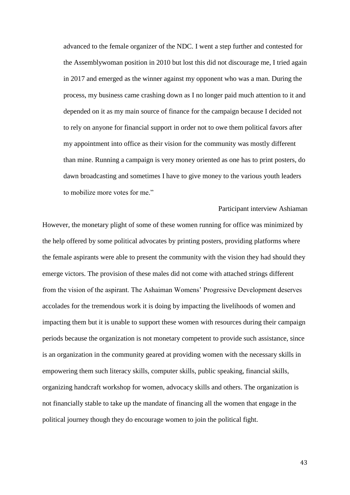advanced to the female organizer of the NDC. I went a step further and contested for the Assemblywoman position in 2010 but lost this did not discourage me, I tried again in 2017 and emerged as the winner against my opponent who was a man. During the process, my business came crashing down as I no longer paid much attention to it and depended on it as my main source of finance for the campaign because I decided not to rely on anyone for financial support in order not to owe them political favors after my appointment into office as their vision for the community was mostly different than mine. Running a campaign is very money oriented as one has to print posters, do dawn broadcasting and sometimes I have to give money to the various youth leaders to mobilize more votes for me."

Participant interview Ashiaman However, the monetary plight of some of these women running for office was minimized by the help offered by some political advocates by printing posters, providing platforms where the female aspirants were able to present the community with the vision they had should they emerge victors. The provision of these males did not come with attached strings different from the vision of the aspirant. The Ashaiman Womens' Progressive Development deserves accolades for the tremendous work it is doing by impacting the livelihoods of women and impacting them but it is unable to support these women with resources during their campaign periods because the organization is not monetary competent to provide such assistance, since is an organization in the community geared at providing women with the necessary skills in empowering them such literacy skills, computer skills, public speaking, financial skills, organizing handcraft workshop for women, advocacy skills and others. The organization is not financially stable to take up the mandate of financing all the women that engage in the political journey though they do encourage women to join the political fight.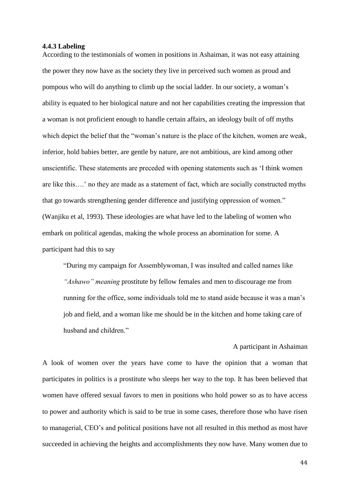#### <span id="page-44-0"></span>**4.4.3 Labeling**

According to the testimonials of women in positions in Ashaiman, it was not easy attaining the power they now have as the society they live in perceived such women as proud and pompous who will do anything to climb up the social ladder. In our society, a woman's ability is equated to her biological nature and not her capabilities creating the impression that a woman is not proficient enough to handle certain affairs, an ideology built of off myths which depict the belief that the "woman's nature is the place of the kitchen, women are weak, inferior, hold babies better, are gentle by nature, are not ambitious, are kind among other unscientific. These statements are preceded with opening statements such as 'I think women are like this….' no they are made as a statement of fact, which are socially constructed myths that go towards strengthening gender difference and justifying oppression of women." (Wanjiku et al, 1993). These ideologies are what have led to the labeling of women who embark on political agendas, making the whole process an abomination for some. A participant had this to say

"During my campaign for Assemblywoman, I was insulted and called names like *"Ashawo" meaning* prostitute by fellow females and men to discourage me from running for the office, some individuals told me to stand aside because it was a man's job and field, and a woman like me should be in the kitchen and home taking care of husband and children."

# A participant in Ashaiman

A look of women over the years have come to have the opinion that a woman that participates in politics is a prostitute who sleeps her way to the top. It has been believed that women have offered sexual favors to men in positions who hold power so as to have access to power and authority which is said to be true in some cases, therefore those who have risen to managerial, CEO's and political positions have not all resulted in this method as most have succeeded in achieving the heights and accomplishments they now have. Many women due to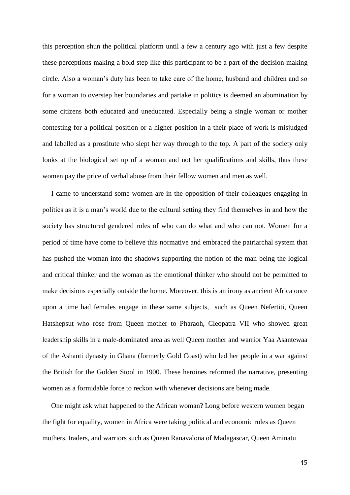this perception shun the political platform until a few a century ago with just a few despite these perceptions making a bold step like this participant to be a part of the decision-making circle. Also a woman's duty has been to take care of the home, husband and children and so for a woman to overstep her boundaries and partake in politics is deemed an abomination by some citizens both educated and uneducated. Especially being a single woman or mother contesting for a political position or a higher position in a their place of work is misjudged and labelled as a prostitute who slept her way through to the top. A part of the society only looks at the biological set up of a woman and not her qualifications and skills, thus these women pay the price of verbal abuse from their fellow women and men as well.

 I came to understand some women are in the opposition of their colleagues engaging in politics as it is a man's world due to the cultural setting they find themselves in and how the society has structured gendered roles of who can do what and who can not. Women for a period of time have come to believe this normative and embraced the patriarchal system that has pushed the woman into the shadows supporting the notion of the man being the logical and critical thinker and the woman as the emotional thinker who should not be permitted to make decisions especially outside the home. Moreover, this is an irony as ancient Africa once upon a time had females engage in these same subjects, such as Queen Nefertiti, Queen Hatshepsut who rose from Queen mother to Pharaoh, Cleopatra VII who showed great leadership skills in a male-dominated area as well Queen mother and warrior Yaa Asantewaa of the Ashanti dynasty in Ghana (formerly Gold Coast) who led her people in a war against the British for the Golden Stool in 1900. These heroines reformed the narrative, presenting women as a formidable force to reckon with whenever decisions are being made.

 One might ask what happened to the African woman? Long before western women began the fight for equality, women in Africa were taking political and economic roles as Queen mothers, traders, and warriors such as Queen Ranavalona of Madagascar, Queen Aminatu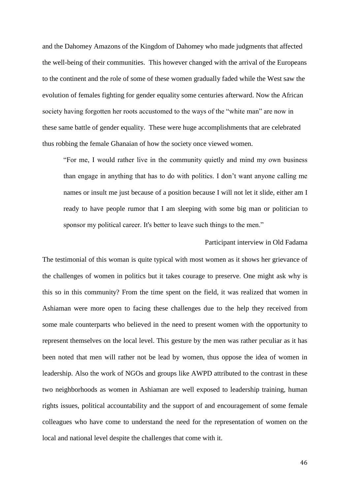and the Dahomey Amazons of the Kingdom of Dahomey who made judgments that affected the well-being of their communities. This however changed with the arrival of the Europeans to the continent and the role of some of these women gradually faded while the West saw the evolution of females fighting for gender equality some centuries afterward. Now the African society having forgotten her roots accustomed to the ways of the "white man" are now in these same battle of gender equality. These were huge accomplishments that are celebrated thus robbing the female Ghanaian of how the society once viewed women.

"For me, I would rather live in the community quietly and mind my own business than engage in anything that has to do with politics. I don't want anyone calling me names or insult me just because of a position because I will not let it slide, either am I ready to have people rumor that I am sleeping with some big man or politician to sponsor my political career. It's better to leave such things to the men."

# Participant interview in Old Fadama

The testimonial of this woman is quite typical with most women as it shows her grievance of the challenges of women in politics but it takes courage to preserve. One might ask why is this so in this community? From the time spent on the field, it was realized that women in Ashiaman were more open to facing these challenges due to the help they received from some male counterparts who believed in the need to present women with the opportunity to represent themselves on the local level. This gesture by the men was rather peculiar as it has been noted that men will rather not be lead by women, thus oppose the idea of women in leadership. Also the work of NGOs and groups like AWPD attributed to the contrast in these two neighborhoods as women in Ashiaman are well exposed to leadership training, human rights issues, political accountability and the support of and encouragement of some female colleagues who have come to understand the need for the representation of women on the local and national level despite the challenges that come with it.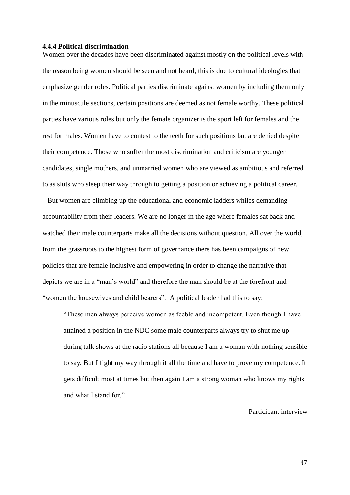# <span id="page-47-0"></span>**4.4.4 Political discrimination**

Women over the decades have been discriminated against mostly on the political levels with the reason being women should be seen and not heard, this is due to cultural ideologies that emphasize gender roles. Political parties discriminate against women by including them only in the minuscule sections, certain positions are deemed as not female worthy. These political parties have various roles but only the female organizer is the sport left for females and the rest for males. Women have to contest to the teeth for such positions but are denied despite their competence. Those who suffer the most discrimination and criticism are younger candidates, single mothers, and unmarried women who are viewed as ambitious and referred to as sluts who sleep their way through to getting a position or achieving a political career.

 But women are climbing up the educational and economic ladders whiles demanding accountability from their leaders. We are no longer in the age where females sat back and watched their male counterparts make all the decisions without question. All over the world, from the grassroots to the highest form of governance there has been campaigns of new policies that are female inclusive and empowering in order to change the narrative that depicts we are in a "man's world" and therefore the man should be at the forefront and "women the housewives and child bearers". A political leader had this to say:

"These men always perceive women as feeble and incompetent. Even though I have attained a position in the NDC some male counterparts always try to shut me up during talk shows at the radio stations all because I am a woman with nothing sensible to say. But I fight my way through it all the time and have to prove my competence. It gets difficult most at times but then again I am a strong woman who knows my rights and what I stand for."

Participant interview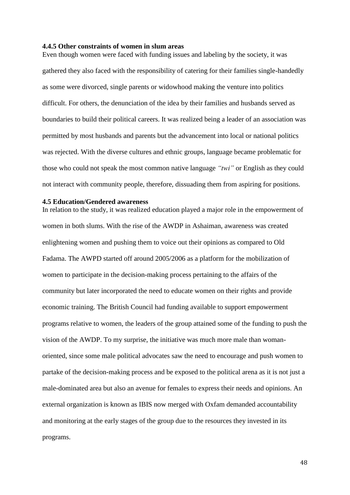# <span id="page-48-0"></span>**4.4.5 Other constraints of women in slum areas**

Even though women were faced with funding issues and labeling by the society, it was gathered they also faced with the responsibility of catering for their families single-handedly as some were divorced, single parents or widowhood making the venture into politics difficult. For others, the denunciation of the idea by their families and husbands served as boundaries to build their political careers. It was realized being a leader of an association was permitted by most husbands and parents but the advancement into local or national politics was rejected. With the diverse cultures and ethnic groups, language became problematic for those who could not speak the most common native language *"twi"* or English as they could not interact with community people, therefore, dissuading them from aspiring for positions.

# <span id="page-48-1"></span>**4.5 Education/Gendered awareness**

In relation to the study, it was realized education played a major role in the empowerment of women in both slums. With the rise of the AWDP in Ashaiman, awareness was created enlightening women and pushing them to voice out their opinions as compared to Old Fadama. The AWPD started off around 2005/2006 as a platform for the mobilization of women to participate in the decision-making process pertaining to the affairs of the community but later incorporated the need to educate women on their rights and provide economic training. The British Council had funding available to support empowerment programs relative to women, the leaders of the group attained some of the funding to push the vision of the AWDP. To my surprise, the initiative was much more male than womanoriented, since some male political advocates saw the need to encourage and push women to partake of the decision-making process and be exposed to the political arena as it is not just a male-dominated area but also an avenue for females to express their needs and opinions. An external organization is known as IBIS now merged with Oxfam demanded accountability and monitoring at the early stages of the group due to the resources they invested in its programs.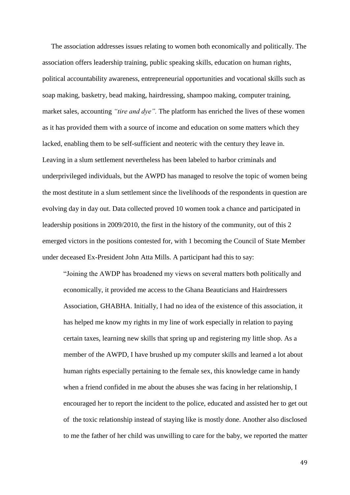The association addresses issues relating to women both economically and politically. The association offers leadership training, public speaking skills, education on human rights, political accountability awareness, entrepreneurial opportunities and vocational skills such as soap making, basketry, bead making, hairdressing, shampoo making, computer training, market sales, accounting *"tire and dye".* The platform has enriched the lives of these women as it has provided them with a source of income and education on some matters which they lacked, enabling them to be self-sufficient and neoteric with the century they leave in. Leaving in a slum settlement nevertheless has been labeled to harbor criminals and underprivileged individuals, but the AWPD has managed to resolve the topic of women being the most destitute in a slum settlement since the livelihoods of the respondents in question are evolving day in day out. Data collected proved 10 women took a chance and participated in leadership positions in 2009/2010, the first in the history of the community, out of this 2 emerged victors in the positions contested for, with 1 becoming the Council of State Member under deceased Ex-President John Atta Mills. A participant had this to say:

"Joining the AWDP has broadened my views on several matters both politically and economically, it provided me access to the Ghana Beauticians and Hairdressers Association, GHABHA. Initially, I had no idea of the existence of this association, it has helped me know my rights in my line of work especially in relation to paying certain taxes, learning new skills that spring up and registering my little shop. As a member of the AWPD, I have brushed up my computer skills and learned a lot about human rights especially pertaining to the female sex, this knowledge came in handy when a friend confided in me about the abuses she was facing in her relationship, I encouraged her to report the incident to the police, educated and assisted her to get out of the toxic relationship instead of staying like is mostly done. Another also disclosed to me the father of her child was unwilling to care for the baby, we reported the matter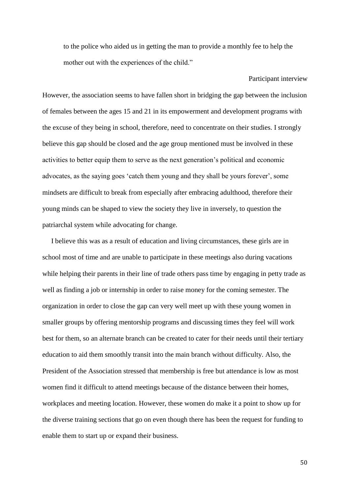to the police who aided us in getting the man to provide a monthly fee to help the mother out with the experiences of the child."

However, the association seems to have fallen short in bridging the gap between the inclusion of females between the ages 15 and 21 in its empowerment and development programs with the excuse of they being in school, therefore, need to concentrate on their studies. I strongly believe this gap should be closed and the age group mentioned must be involved in these activities to better equip them to serve as the next generation's political and economic advocates, as the saying goes 'catch them young and they shall be yours forever', some mindsets are difficult to break from especially after embracing adulthood, therefore their young minds can be shaped to view the society they live in inversely, to question the patriarchal system while advocating for change.

 I believe this was as a result of education and living circumstances, these girls are in school most of time and are unable to participate in these meetings also during vacations while helping their parents in their line of trade others pass time by engaging in petty trade as well as finding a job or internship in order to raise money for the coming semester. The organization in order to close the gap can very well meet up with these young women in smaller groups by offering mentorship programs and discussing times they feel will work best for them, so an alternate branch can be created to cater for their needs until their tertiary education to aid them smoothly transit into the main branch without difficulty. Also, the President of the Association stressed that membership is free but attendance is low as most women find it difficult to attend meetings because of the distance between their homes, workplaces and meeting location. However, these women do make it a point to show up for the diverse training sections that go on even though there has been the request for funding to enable them to start up or expand their business.

50

Participant interview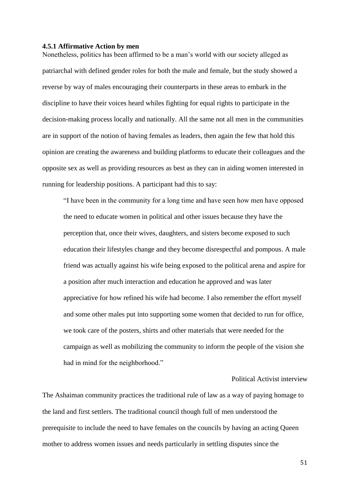#### <span id="page-51-0"></span>**4.5.1 Affirmative Action by men**

Nonetheless, politics has been affirmed to be a man's world with our society alleged as patriarchal with defined gender roles for both the male and female, but the study showed a reverse by way of males encouraging their counterparts in these areas to embark in the discipline to have their voices heard whiles fighting for equal rights to participate in the decision-making process locally and nationally. All the same not all men in the communities are in support of the notion of having females as leaders, then again the few that hold this opinion are creating the awareness and building platforms to educate their colleagues and the opposite sex as well as providing resources as best as they can in aiding women interested in running for leadership positions. A participant had this to say:

"I have been in the community for a long time and have seen how men have opposed the need to educate women in political and other issues because they have the perception that, once their wives, daughters, and sisters become exposed to such education their lifestyles change and they become disrespectful and pompous. A male friend was actually against his wife being exposed to the political arena and aspire for a position after much interaction and education he approved and was later appreciative for how refined his wife had become. I also remember the effort myself and some other males put into supporting some women that decided to run for office, we took care of the posters, shirts and other materials that were needed for the campaign as well as mobilizing the community to inform the people of the vision she had in mind for the neighborhood."

# Political Activist interview

The Ashaiman community practices the traditional rule of law as a way of paying homage to the land and first settlers. The traditional council though full of men understood the prerequisite to include the need to have females on the councils by having an acting Queen mother to address women issues and needs particularly in settling disputes since the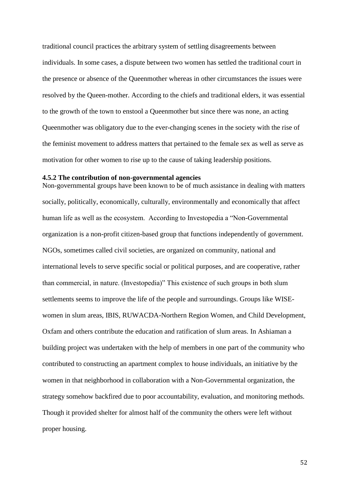traditional council practices the arbitrary system of settling disagreements between individuals. In some cases, a dispute between two women has settled the traditional court in the presence or absence of the Queenmother whereas in other circumstances the issues were resolved by the Queen-mother. According to the chiefs and traditional elders, it was essential to the growth of the town to enstool a Queenmother but since there was none, an acting Queenmother was obligatory due to the ever-changing scenes in the society with the rise of the feminist movement to address matters that pertained to the female sex as well as serve as motivation for other women to rise up to the cause of taking leadership positions.

# <span id="page-52-0"></span>**4.5.2 The contribution of non-governmental agencies**

Non-governmental groups have been known to be of much assistance in dealing with matters socially, politically, economically, culturally, environmentally and economically that affect human life as well as the ecosystem. According to Investopedia a "Non-Governmental organization is a non-profit citizen-based group that functions independently of government. NGOs, sometimes called civil societies, are organized on community, national and international levels to serve specific social or political purposes, and are cooperative, rather than commercial, in nature. (Investopedia)" This existence of such groups in both slum settlements seems to improve the life of the people and surroundings. Groups like WISEwomen in slum areas, IBIS, RUWACDA-Northern Region Women, and Child Development, Oxfam and others contribute the education and ratification of slum areas. In Ashiaman a building project was undertaken with the help of members in one part of the community who contributed to constructing an apartment complex to house individuals, an initiative by the women in that neighborhood in collaboration with a Non-Governmental organization, the strategy somehow backfired due to poor accountability, evaluation, and monitoring methods. Though it provided shelter for almost half of the community the others were left without proper housing.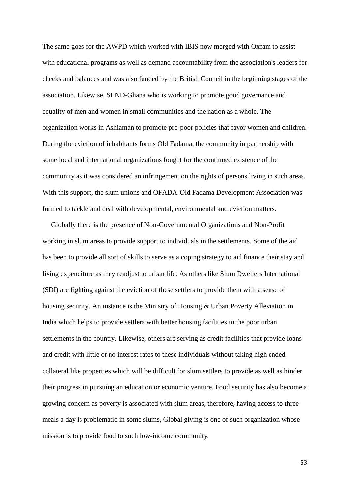The same goes for the AWPD which worked with IBIS now merged with Oxfam to assist with educational programs as well as demand accountability from the association's leaders for checks and balances and was also funded by the British Council in the beginning stages of the association. Likewise, SEND-Ghana who is working to promote good governance and equality of men and women in small communities and the nation as a whole. The organization works in Ashiaman to promote pro-poor policies that favor women and children. During the eviction of inhabitants forms Old Fadama, the community in partnership with some local and international organizations fought for the continued existence of the community as it was considered an infringement on the rights of persons living in such areas. With this support, the slum unions and OFADA-Old Fadama Development Association was formed to tackle and deal with developmental, environmental and eviction matters.

 Globally there is the presence of Non-Governmental Organizations and Non-Profit working in slum areas to provide support to individuals in the settlements. Some of the aid has been to provide all sort of skills to serve as a coping strategy to aid finance their stay and living expenditure as they readjust to urban life. As others like Slum Dwellers International (SDI) are fighting against the eviction of these settlers to provide them with a sense of housing security. An instance is the Ministry of Housing & Urban Poverty Alleviation in India which helps to provide settlers with better housing facilities in the poor urban settlements in the country. Likewise, others are serving as credit facilities that provide loans and credit with little or no interest rates to these individuals without taking high ended collateral like properties which will be difficult for slum settlers to provide as well as hinder their progress in pursuing an education or economic venture. Food security has also become a growing concern as poverty is associated with slum areas, therefore, having access to three meals a day is problematic in some slums, Global giving is one of such organization whose mission is to provide food to such low-income community.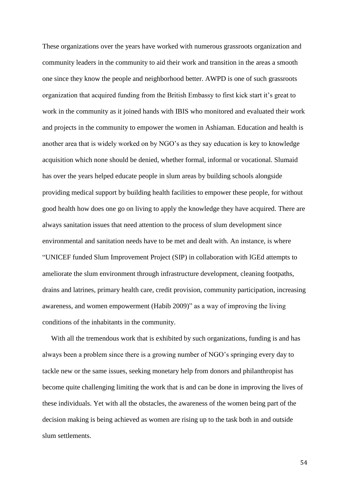These organizations over the years have worked with numerous grassroots organization and community leaders in the community to aid their work and transition in the areas a smooth one since they know the people and neighborhood better. AWPD is one of such grassroots organization that acquired funding from the British Embassy to first kick start it's great to work in the community as it joined hands with IBIS who monitored and evaluated their work and projects in the community to empower the women in Ashiaman. Education and health is another area that is widely worked on by NGO's as they say education is key to knowledge acquisition which none should be denied, whether formal, informal or vocational. Slumaid has over the years helped educate people in slum areas by building schools alongside providing medical support by building health facilities to empower these people, for without good health how does one go on living to apply the knowledge they have acquired. There are always sanitation issues that need attention to the process of slum development since environmental and sanitation needs have to be met and dealt with. An instance, is where "UNICEF funded Slum Improvement Project (SIP) in collaboration with lGEd attempts to ameliorate the slum environment through infrastructure development, cleaning footpaths, drains and latrines, primary health care, credit provision, community participation, increasing awareness, and women empowerment (Habib 2009)" as a way of improving the living conditions of the inhabitants in the community.

With all the tremendous work that is exhibited by such organizations, funding is and has always been a problem since there is a growing number of NGO's springing every day to tackle new or the same issues, seeking monetary help from donors and philanthropist has become quite challenging limiting the work that is and can be done in improving the lives of these individuals. Yet with all the obstacles, the awareness of the women being part of the decision making is being achieved as women are rising up to the task both in and outside slum settlements.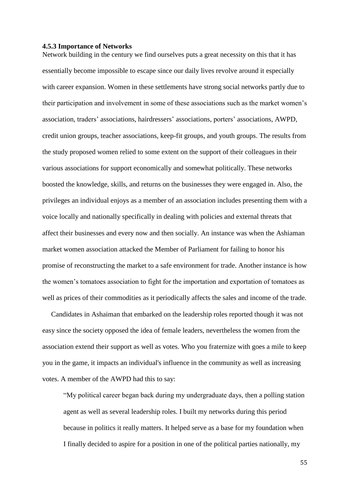### <span id="page-55-0"></span>**4.5.3 Importance of Networks**

Network building in the century we find ourselves puts a great necessity on this that it has essentially become impossible to escape since our daily lives revolve around it especially with career expansion. Women in these settlements have strong social networks partly due to their participation and involvement in some of these associations such as the market women's association, traders' associations, hairdressers' associations, porters' associations, AWPD, credit union groups, teacher associations, keep-fit groups, and youth groups. The results from the study proposed women relied to some extent on the support of their colleagues in their various associations for support economically and somewhat politically. These networks boosted the knowledge, skills, and returns on the businesses they were engaged in. Also, the privileges an individual enjoys as a member of an association includes presenting them with a voice locally and nationally specifically in dealing with policies and external threats that affect their businesses and every now and then socially. An instance was when the Ashiaman market women association attacked the Member of Parliament for failing to honor his promise of reconstructing the market to a safe environment for trade. Another instance is how the women's tomatoes association to fight for the importation and exportation of tomatoes as well as prices of their commodities as it periodically affects the sales and income of the trade.

 Candidates in Ashaiman that embarked on the leadership roles reported though it was not easy since the society opposed the idea of female leaders, nevertheless the women from the association extend their support as well as votes. Who you fraternize with goes a mile to keep you in the game, it impacts an individual's influence in the community as well as increasing votes. A member of the AWPD had this to say:

"My political career began back during my undergraduate days, then a polling station agent as well as several leadership roles. I built my networks during this period because in politics it really matters. It helped serve as a base for my foundation when I finally decided to aspire for a position in one of the political parties nationally, my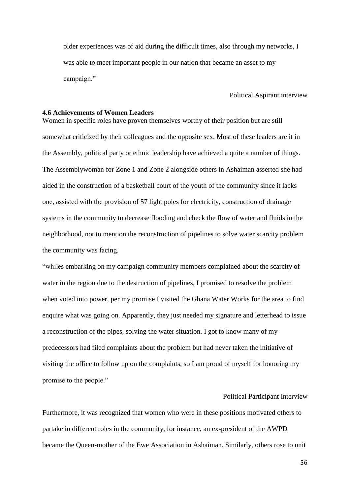older experiences was of aid during the difficult times, also through my networks, I was able to meet important people in our nation that became an asset to my campaign."

## Political Aspirant interview

# <span id="page-56-0"></span>**4.6 Achievements of Women Leaders**

Women in specific roles have proven themselves worthy of their position but are still somewhat criticized by their colleagues and the opposite sex. Most of these leaders are it in the Assembly, political party or ethnic leadership have achieved a quite a number of things. The Assemblywoman for Zone 1 and Zone 2 alongside others in Ashaiman asserted she had aided in the construction of a basketball court of the youth of the community since it lacks one, assisted with the provision of 57 light poles for electricity, construction of drainage systems in the community to decrease flooding and check the flow of water and fluids in the neighborhood, not to mention the reconstruction of pipelines to solve water scarcity problem the community was facing.

"whiles embarking on my campaign community members complained about the scarcity of water in the region due to the destruction of pipelines, I promised to resolve the problem when voted into power, per my promise I visited the Ghana Water Works for the area to find enquire what was going on. Apparently, they just needed my signature and letterhead to issue a reconstruction of the pipes, solving the water situation. I got to know many of my predecessors had filed complaints about the problem but had never taken the initiative of visiting the office to follow up on the complaints, so I am proud of myself for honoring my promise to the people."

# Political Participant Interview

Furthermore, it was recognized that women who were in these positions motivated others to partake in different roles in the community, for instance, an ex-president of the AWPD became the Queen-mother of the Ewe Association in Ashaiman. Similarly, others rose to unit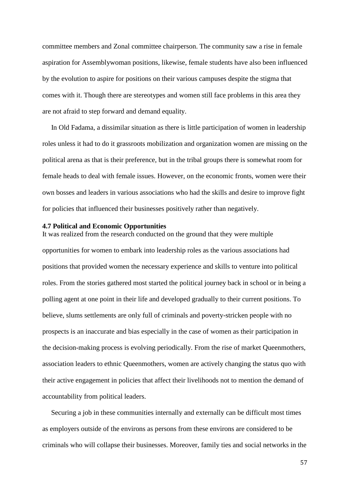committee members and Zonal committee chairperson. The community saw a rise in female aspiration for Assemblywoman positions, likewise, female students have also been influenced by the evolution to aspire for positions on their various campuses despite the stigma that comes with it. Though there are stereotypes and women still face problems in this area they are not afraid to step forward and demand equality.

 In Old Fadama, a dissimilar situation as there is little participation of women in leadership roles unless it had to do it grassroots mobilization and organization women are missing on the political arena as that is their preference, but in the tribal groups there is somewhat room for female heads to deal with female issues. However, on the economic fronts, women were their own bosses and leaders in various associations who had the skills and desire to improve fight for policies that influenced their businesses positively rather than negatively.

# <span id="page-57-0"></span>**4.7 Political and Economic Opportunities**

It was realized from the research conducted on the ground that they were multiple opportunities for women to embark into leadership roles as the various associations had positions that provided women the necessary experience and skills to venture into political roles. From the stories gathered most started the political journey back in school or in being a polling agent at one point in their life and developed gradually to their current positions. To believe, slums settlements are only full of criminals and poverty-stricken people with no prospects is an inaccurate and bias especially in the case of women as their participation in the decision-making process is evolving periodically. From the rise of market Queenmothers, association leaders to ethnic Queenmothers, women are actively changing the status quo with their active engagement in policies that affect their livelihoods not to mention the demand of accountability from political leaders.

 Securing a job in these communities internally and externally can be difficult most times as employers outside of the environs as persons from these environs are considered to be criminals who will collapse their businesses. Moreover, family ties and social networks in the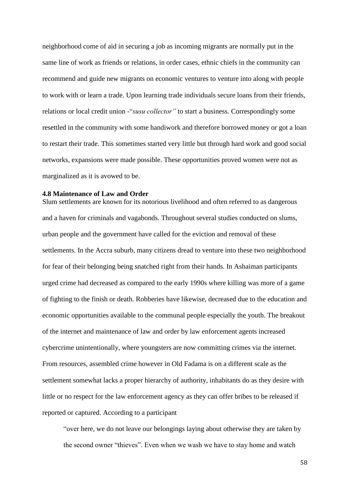neighborhood come of aid in securing a job as incoming migrants are normally put in the same line of work as friends or relations, in order cases, ethnic chiefs in the community can recommend and guide new migrants on economic ventures to venture into along with people to work with or learn a trade. Upon learning trade individuals secure loans from their friends, relations or local credit union -"*susu collector"* to start a business. Correspondingly some resettled in the community with some handiwork and therefore borrowed money or got a loan to restart their trade. This sometimes started very little but through hard work and good social networks, expansions were made possible. These opportunities proved women were not as marginalized as it is avowed to be.

# <span id="page-58-0"></span>**4.8 Maintenance of Law and Order**

Slum settlements are known for its notorious livelihood and often referred to as dangerous and a haven for criminals and vagabonds. Throughout several studies conducted on slums, urban people and the government have called for the eviction and removal of these settlements. In the Accra suburb, many citizens dread to venture into these two neighborhood for fear of their belonging being snatched right from their hands. In Ashaiman participants urged crime had decreased as compared to the early 1990s where killing was more of a game of fighting to the finish or death. Robberies have likewise, decreased due to the education and economic opportunities available to the communal people especially the youth. The breakout of the internet and maintenance of law and order by law enforcement agents increased cybercrime unintentionally, where youngsters are now committing crimes via the internet. From resources, assembled crime however in Old Fadama is on a different scale as the settlement somewhat lacks a proper hierarchy of authority, inhabitants do as they desire with little or no respect for the law enforcement agency as they can offer bribes to be released if reported or captured. According to a participant

"over here, we do not leave our belongings laying about otherwise they are taken by the second owner "thieves". Even when we wash we have to stay home and watch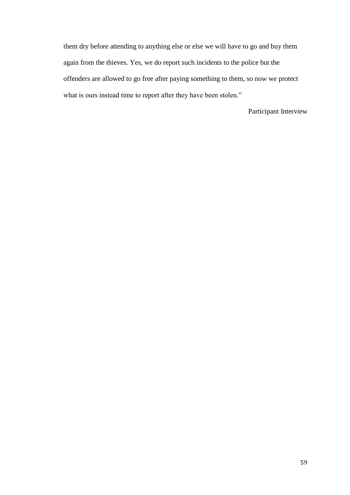them dry before attending to anything else or else we will have to go and buy them again from the thieves. Yes, we do report such incidents to the police but the offenders are allowed to go free after paying something to them, so now we protect what is ours instead time to report after they have been stolen."

Participant Interview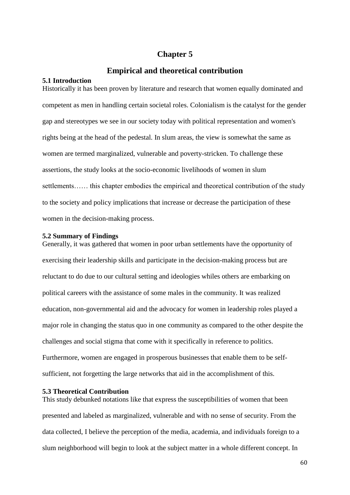# **Chapter 5**

# **Empirical and theoretical contribution**

# <span id="page-60-2"></span><span id="page-60-1"></span><span id="page-60-0"></span>**5.1 Introduction**

Historically it has been proven by literature and research that women equally dominated and competent as men in handling certain societal roles. Colonialism is the catalyst for the gender gap and stereotypes we see in our society today with political representation and women's rights being at the head of the pedestal. In slum areas, the view is somewhat the same as women are termed marginalized, vulnerable and poverty-stricken. To challenge these assertions, the study looks at the socio-economic livelihoods of women in slum settlements…… this chapter embodies the empirical and theoretical contribution of the study to the society and policy implications that increase or decrease the participation of these women in the decision-making process.

# <span id="page-60-3"></span>**5.2 Summary of Findings**

Generally, it was gathered that women in poor urban settlements have the opportunity of exercising their leadership skills and participate in the decision-making process but are reluctant to do due to our cultural setting and ideologies whiles others are embarking on political careers with the assistance of some males in the community. It was realized education, non-governmental aid and the advocacy for women in leadership roles played a major role in changing the status quo in one community as compared to the other despite the challenges and social stigma that come with it specifically in reference to politics. Furthermore, women are engaged in prosperous businesses that enable them to be selfsufficient, not forgetting the large networks that aid in the accomplishment of this.

# <span id="page-60-4"></span>**5.3 Theoretical Contribution**

This study debunked notations like that express the susceptibilities of women that been presented and labeled as marginalized, vulnerable and with no sense of security. From the data collected, I believe the perception of the media, academia, and individuals foreign to a slum neighborhood will begin to look at the subject matter in a whole different concept. In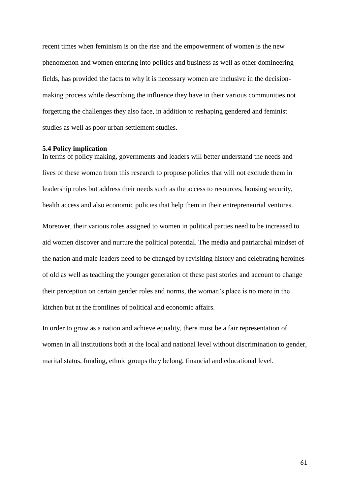recent times when feminism is on the rise and the empowerment of women is the new phenomenon and women entering into politics and business as well as other domineering fields, has provided the facts to why it is necessary women are inclusive in the decisionmaking process while describing the influence they have in their various communities not forgetting the challenges they also face, in addition to reshaping gendered and feminist studies as well as poor urban settlement studies.

### <span id="page-61-0"></span>**5.4 Policy implication**

In terms of policy making, governments and leaders will better understand the needs and lives of these women from this research to propose policies that will not exclude them in leadership roles but address their needs such as the access to resources, housing security, health access and also economic policies that help them in their entrepreneurial ventures.

Moreover, their various roles assigned to women in political parties need to be increased to aid women discover and nurture the political potential. The media and patriarchal mindset of the nation and male leaders need to be changed by revisiting history and celebrating heroines of old as well as teaching the younger generation of these past stories and account to change their perception on certain gender roles and norms, the woman's place is no more in the kitchen but at the frontlines of political and economic affairs.

In order to grow as a nation and achieve equality, there must be a fair representation of women in all institutions both at the local and national level without discrimination to gender, marital status, funding, ethnic groups they belong, financial and educational level.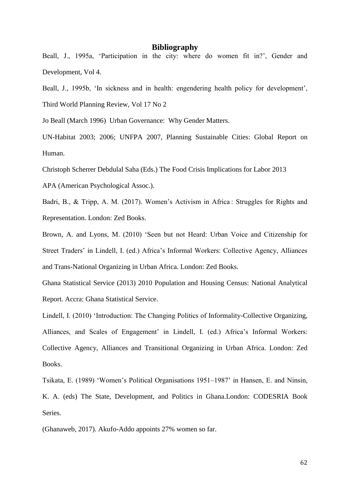# **Bibliography**

<span id="page-62-0"></span>Beall, J., 1995a, 'Participation in the city: where do women fit in?', Gender and Development, Vol 4.

Beall, J., 1995b, 'In sickness and in health: engendering health policy for development', Third World Planning Review, Vol 17 No 2

Jo Beall (March 1996) Urban Governance: Why Gender Matters.

UN-Habitat 2003; 2006; UNFPA 2007, Planning Sustainable Cities: Global Report on Human.

Christoph Scherrer Debdulal Saha (Eds.) The Food Crisis Implications for Labor 2013

APA (American Psychological Assoc.).

Badri, B., & Tripp, A. M. (2017). Women's Activism in Africa: Struggles for Rights and Representation. London: Zed Books.

Brown, A. and Lyons, M. (2010) 'Seen but not Heard: Urban Voice and Citizenship for Street Traders' in Lindell, I. (ed.) Africa's Informal Workers: Collective Agency, Alliances and Trans-National Organizing in Urban Africa. London: Zed Books.

Ghana Statistical Service (2013) 2010 Population and Housing Census: National Analytical Report. Accra: Ghana Statistical Service.

Lindell, I. (2010) 'Introduction: The Changing Politics of Informality-Collective Organizing, Alliances, and Scales of Engagement' in Lindell, I. (ed.) Africa's Informal Workers: Collective Agency, Alliances and Transitional Organizing in Urban Africa. London: Zed Books.

Tsikata, E. (1989) 'Women's Political Organisations 1951–1987' in Hansen, E. and Ninsin, K. A. (eds) The State, Development, and Politics in Ghana.London: CODESRIA Book Series.

(Ghanaweb, 2017). Akufo-Addo appoints 27% women so far.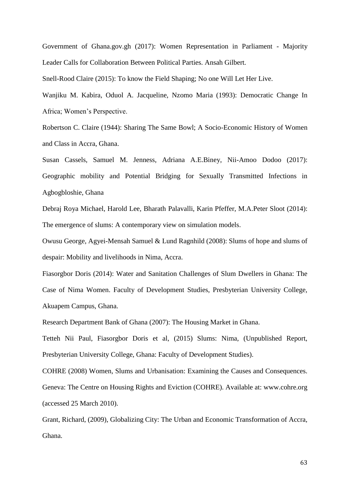Government of Ghana.gov.gh (2017): Women Representation in Parliament - Majority Leader Calls for Collaboration Between Political Parties. Ansah Gilbert.

Snell-Rood Claire (2015): To know the Field Shaping; No one Will Let Her Live.

Wanjiku M. Kabira, Oduol A. Jacqueline, Nzomo Maria (1993): Democratic Change In Africa; Women's Perspective.

Robertson C. Claire (1944): Sharing The Same Bowl; A Socio-Economic History of Women and Class in Accra, Ghana.

Susan Cassels, Samuel M. Jenness, Adriana A.E.Biney, Nii-Amoo Dodoo (2017): Geographic mobility and Potential Bridging for Sexually Transmitted Infections in Agbogbloshie, Ghana

Debraj Roya Michael, Harold Lee, Bharath Palavalli, Karin Pfeffer, M.A.Peter Sloot (2014): The emergence of slums: A contemporary view on simulation models.

Owusu George, Agyei-Mensah Samuel & Lund Ragnhild (2008): Slums of hope and slums of despair: Mobility and livelihoods in Nima, Accra.

Fiasorgbor Doris (2014): Water and Sanitation Challenges of Slum Dwellers in Ghana: The Case of Nima Women. Faculty of Development Studies, Presbyterian University College, Akuapem Campus, Ghana.

Research Department Bank of Ghana (2007): The Housing Market in Ghana.

Tetteh Nii Paul, Fiasorgbor Doris et al, (2015) Slums: Nima, (Unpublished Report, Presbyterian University College, Ghana: Faculty of Development Studies).

COHRE (2008) Women, Slums and Urbanisation: Examining the Causes and Consequences. Geneva: The Centre on Housing Rights and Eviction (COHRE). Available at: www.cohre.org (accessed 25 March 2010).

Grant, Richard, (2009), Globalizing City: The Urban and Economic Transformation of Accra, Ghana.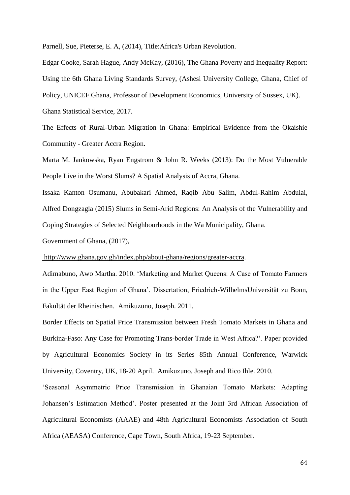Parnell, Sue, Pieterse, E. A, (2014), Title:Africa's Urban Revolution.

Edgar Cooke, Sarah Hague, Andy McKay, (2016), The Ghana Poverty and Inequality Report: Using the 6th Ghana Living Standards Survey, (Ashesi University College, Ghana, Chief of Policy, UNICEF Ghana, Professor of Development Economics, University of Sussex, UK). Ghana Statistical Service, 2017.

The Effects of Rural-Urban Migration in Ghana: Empirical Evidence from the Okaishie Community - Greater Accra Region.

Marta M. Jankowska, Ryan Engstrom & John R. Weeks (2013): Do the Most Vulnerable People Live in the Worst Slums? A Spatial Analysis of Accra, Ghana.

Issaka Kanton Osumanu, Abubakari Ahmed, Raqib Abu Salim, Abdul-Rahim Abdulai, Alfred Dongzagla (2015) Slums in Semi-Arid Regions: An Analysis of the Vulnerability and Coping Strategies of Selected Neighbourhoods in the Wa Municipality, Ghana.

Government of Ghana, (2017),

[http://www.ghana.gov.gh/index.php/about-ghana/regions/greater-accra.](http://www.ghana.gov.gh/index.php/about-ghana/regions/greater-accra)

Adimabuno, Awo Martha. 2010. 'Marketing and Market Queens: A Case of Tomato Farmers in the Upper East Region of Ghana'. Dissertation, Friedrich-WilhelmsUniversität zu Bonn, Fakultät der Rheinischen. Amikuzuno, Joseph. 2011.

Border Effects on Spatial Price Transmission between Fresh Tomato Markets in Ghana and Burkina-Faso: Any Case for Promoting Trans-border Trade in West Africa?'. Paper provided by Agricultural Economics Society in its Series 85th Annual Conference, Warwick University, Coventry, UK, 18-20 April. Amikuzuno, Joseph and Rico Ihle. 2010.

'Seasonal Asymmetric Price Transmission in Ghanaian Tomato Markets: Adapting Johansen's Estimation Method'. Poster presented at the Joint 3rd African Association of Agricultural Economists (AAAE) and 48th Agricultural Economists Association of South Africa (AEASA) Conference, Cape Town, South Africa, 19-23 September.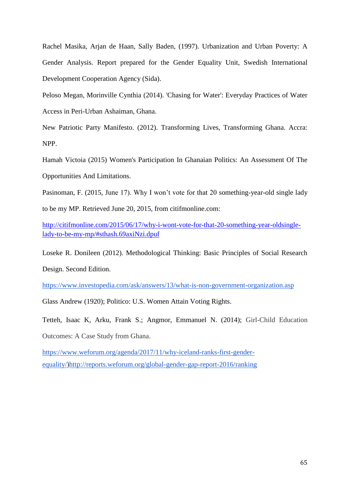Rachel Masika, Arjan de Haan, Sally Baden, (1997). Urbanization and Urban Poverty: A Gender Analysis. Report prepared for the Gender Equality Unit, Swedish International Development Cooperation Agency (Sida).

[Peloso](https://www.researchgate.net/profile/Megan_Peloso?_sg%5B_sg%5D=0UObIYUI_ykV7_cQii5QcCRteK5UShq44oFMIxXcRyz2WuRdn-RfdocE0o8FCb7HoN9lvJdKmEGdnA) Megan, Morinville [Cynthia \(](https://www.researchgate.net/scientific-contributions/2033084646_Cynthia_Morinville?_sg%5B_sg%5D=0UObIYUI_ykV7_cQii5QcCRteK5UShq44oFMIxXcRyz2WuRdn-RfdocE0o8FCb7HoN9lvJdKmEGdnA)2014). ['Chasing for Water': Everyday Practices of Water](https://www.researchgate.net/publication/286380564_)  [Access in Peri-Urban Ashaiman, Ghana.](https://www.researchgate.net/publication/286380564_)

New Patriotic Party Manifesto. (2012). Transforming Lives, Transforming Ghana. Accra: NPP.

Hamah Victoia (2015) Women's Participation In Ghanaian Politics: An Assessment Of The Opportunities And Limitations.

Pasinoman, F. (2015, June 17). Why I won't vote for that 20 something-year-old single lady to be my MP. Retrieved June 20, 2015, from citifmonline.com:

[http://citifmonline.com/2015/06/17/why-i-wont-vote-for-that-20-something-year-oldsingle](http://citifmonline.com/2015/06/17/why-i-wont-vote-for-that-20-something-year-oldsingle-lady-to-be-my-mp/#sthash.69axiNzi.dpuf)[lady-to-be-my-mp/#sthash.69axiNzi.dpuf](http://citifmonline.com/2015/06/17/why-i-wont-vote-for-that-20-something-year-oldsingle-lady-to-be-my-mp/#sthash.69axiNzi.dpuf)

Loseke R. Donileen (2012). Methodological Thinking: Basic Principles of Social Research Design. Second Edition.

<https://www.investopedia.com/ask/answers/13/what-is-non-government-organization.asp>

Glass Andrew (1920); Politico: U.S. Women Attain Voting Rights.

Tetteh, Isaac K, Arku, Frank S.; Angmor, Emmanuel N. (2014); Girl-Child Education Outcomes: A Case Study from Ghana.

[https://www.weforum.org/agenda/2017/11/why-iceland-ranks-first-gender](https://www.weforum.org/agenda/2017/11/why-iceland-ranks-first-gender-equality/)[equality/\)](https://www.weforum.org/agenda/2017/11/why-iceland-ranks-first-gender-equality/)[http://reports.weforum.org/global-gender-gap-report-2016/ranking](http://reports.weforum.org/global-gender-gap-report-2016/rankings)